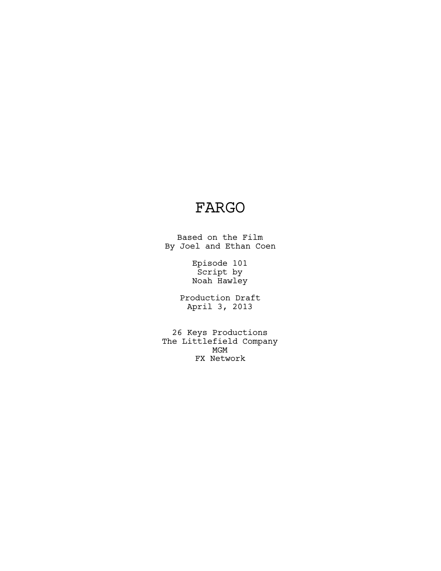# FARGO

Based on the Film By Joel and Ethan Coen

> Episode 101 Script by Noah Hawley

Production Draft April 3, 2013

26 Keys Productions The Littlefield Company MGM FX Network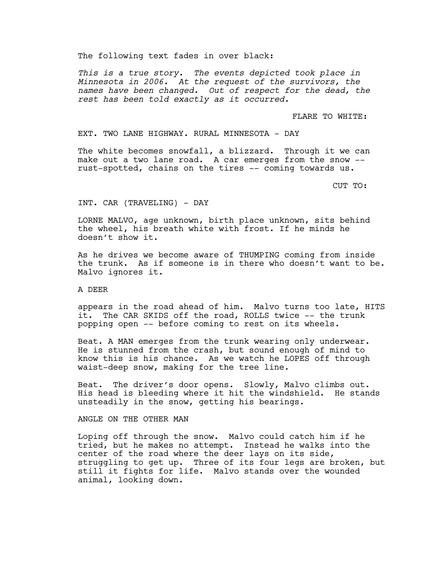The following text fades in over black:

*This is a true story. The events depicted took place in Minnesota in 2006. At the request of the survivors, the names have been changed. Out of respect for the dead, the rest has been told exactly as it occurred.*

FLARE TO WHITE:

EXT. TWO LANE HIGHWAY. RURAL MINNESOTA - DAY

The white becomes snowfall, a blizzard. Through it we can make out a two lane road. A car emerges from the snow -rust-spotted, chains on the tires -- coming towards us.

CUT TO:

#### INT. CAR (TRAVELING) - DAY

LORNE MALVO, age unknown, birth place unknown, sits behind the wheel, his breath white with frost. If he minds he doesn't show it.

As he drives we become aware of THUMPING coming from inside the trunk. As if someone is in there who doesn't want to be. Malvo ignores it.

A DEER

appears in the road ahead of him. Malvo turns too late, HITS it. The CAR SKIDS off the road, ROLLS twice -- the trunk popping open -- before coming to rest on its wheels.

Beat. A MAN emerges from the trunk wearing only underwear. He is stunned from the crash, but sound enough of mind to know this is his chance. As we watch he LOPES off through waist-deep snow, making for the tree line.

Beat. The driver's door opens. Slowly, Malvo climbs out. His head is bleeding where it hit the windshield. He stands unsteadily in the snow, getting his bearings.

ANGLE ON THE OTHER MAN

Loping off through the snow. Malvo could catch him if he tried, but he makes no attempt. Instead he walks into the center of the road where the deer lays on its side, struggling to get up. Three of its four legs are broken, but still it fights for life. Malvo stands over the wounded animal, looking down.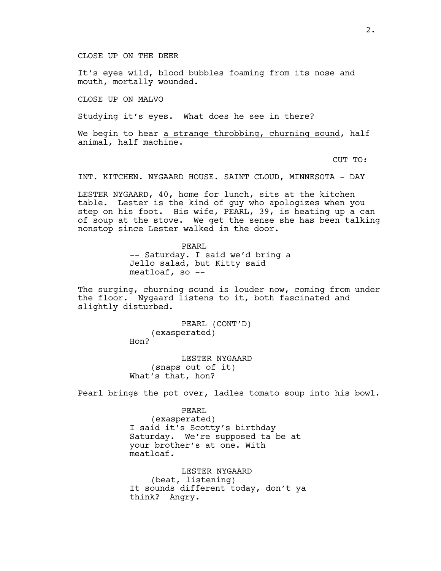CLOSE UP ON THE DEER

It's eyes wild, blood bubbles foaming from its nose and mouth, mortally wounded.

CLOSE UP ON MALVO

Studying it's eyes. What does he see in there?

We begin to hear a strange throbbing, churning sound, half animal, half machine.

CUT TO:

INT. KITCHEN. NYGAARD HOUSE. SAINT CLOUD, MINNESOTA - DAY

LESTER NYGAARD, 40, home for lunch, sits at the kitchen table. Lester is the kind of guy who apologizes when you step on his foot. His wife, PEARL, 39, is heating up a can of soup at the stove. We get the sense she has been talking nonstop since Lester walked in the door.

> PEARL -- Saturday. I said we'd bring a Jello salad, but Kitty said meatloaf, so --

The surging, churning sound is louder now, coming from under the floor. Nygaard listens to it, both fascinated and slightly disturbed.

> PEARL (CONT'D) (exasperated) Hon?

LESTER NYGAARD (snaps out of it) What's that, hon?

Pearl brings the pot over, ladles tomato soup into his bowl.

PEARL (exasperated) I said it's Scotty's birthday Saturday. We're supposed ta be at your brother's at one. With meatloaf.

LESTER NYGAARD (beat, listening) It sounds different today, don't ya think? Angry.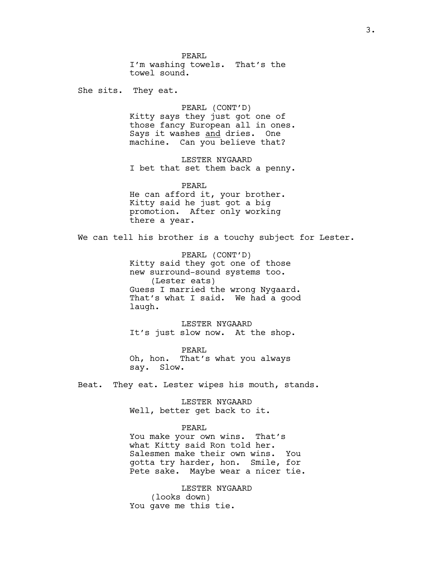PEARL I'm washing towels. That's the towel sound.

She sits. They eat.

PEARL (CONT'D) Kitty says they just got one of those fancy European all in ones. Says it washes and dries. One machine. Can you believe that?

LESTER NYGAARD I bet that set them back a penny.

PEARL He can afford it, your brother. Kitty said he just got a big promotion. After only working there a year.

We can tell his brother is a touchy subject for Lester.

PEARL (CONT'D) Kitty said they got one of those new surround-sound systems too. (Lester eats) Guess I married the wrong Nygaard. That's what I said. We had a good laugh.

LESTER NYGAARD It's just slow now. At the shop.

PEARL Oh, hon. That's what you always say. Slow.

Beat. They eat. Lester wipes his mouth, stands.

LESTER NYGAARD Well, better get back to it.

#### PEARL

You make your own wins. That's what Kitty said Ron told her. Salesmen make their own wins. You gotta try harder, hon. Smile, for Pete sake. Maybe wear a nicer tie.

LESTER NYGAARD (looks down) You gave me this tie.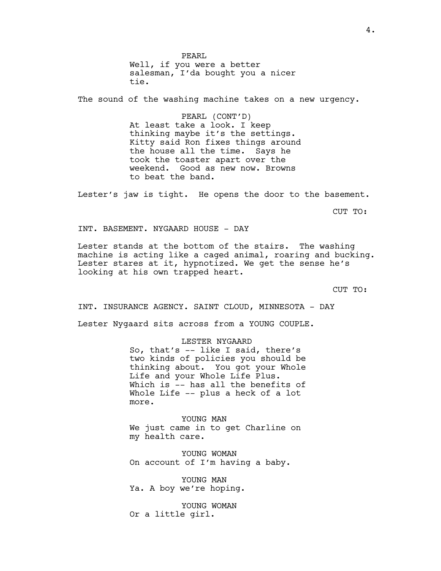PEARL Well, if you were a better salesman, I'da bought you a nicer tie.

The sound of the washing machine takes on a new urgency.

PEARL (CONT'D) At least take a look. I keep thinking maybe it's the settings. Kitty said Ron fixes things around the house all the time. Says he took the toaster apart over the weekend. Good as new now. Browns to beat the band.

Lester's jaw is tight. He opens the door to the basement.

CUT TO:

INT. BASEMENT. NYGAARD HOUSE - DAY

Lester stands at the bottom of the stairs. The washing machine is acting like a caged animal, roaring and bucking. Lester stares at it, hypnotized. We get the sense he's looking at his own trapped heart.

CUT TO:

INT. INSURANCE AGENCY. SAINT CLOUD, MINNESOTA - DAY Lester Nygaard sits across from a YOUNG COUPLE.

LESTER NYGAARD

So, that's -- like I said, there's two kinds of policies you should be thinking about. You got your Whole Life and your Whole Life Plus. Which is -- has all the benefits of Whole Life -- plus a heck of a lot more.

YOUNG MAN We just came in to get Charline on my health care.

YOUNG WOMAN On account of I'm having a baby.

YOUNG MAN Ya. A boy we're hoping.

YOUNG WOMAN Or a little girl.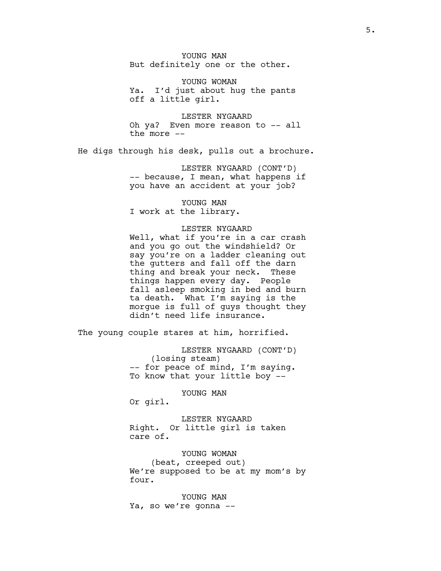YOUNG MAN But definitely one or the other.

YOUNG WOMAN Ya. I'd just about hug the pants off a little girl.

LESTER NYGAARD Oh ya? Even more reason to -- all the more --

He digs through his desk, pulls out a brochure.

LESTER NYGAARD (CONT'D) -- because, I mean, what happens if you have an accident at your job?

YOUNG MAN I work at the library.

## LESTER NYGAARD

Well, what if you're in a car crash and you go out the windshield? Or say you're on a ladder cleaning out the gutters and fall off the darn thing and break your neck. These things happen every day. People fall asleep smoking in bed and burn ta death. What I'm saying is the morgue is full of guys thought they didn't need life insurance.

The young couple stares at him, horrified.

LESTER NYGAARD (CONT'D) (losing steam) -- for peace of mind, I'm saying. To know that your little boy --

YOUNG MAN

Or girl.

LESTER NYGAARD Right. Or little girl is taken care of.

YOUNG WOMAN (beat, creeped out) We're supposed to be at my mom's by four.

YOUNG MAN Ya, so we're gonna --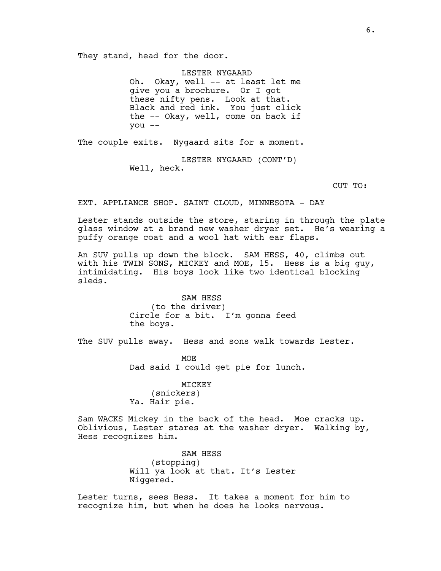They stand, head for the door.

LESTER NYGAARD Oh. Okay, well -- at least let me give you a brochure. Or I got these nifty pens. Look at that. Black and red ink. You just click the -- Okay, well, come on back if you --

The couple exits. Nygaard sits for a moment.

LESTER NYGAARD (CONT'D) Well, heck.

CUT TO:

EXT. APPLIANCE SHOP. SAINT CLOUD, MINNESOTA - DAY

Lester stands outside the store, staring in through the plate glass window at a brand new washer dryer set. He's wearing a puffy orange coat and a wool hat with ear flaps.

An SUV pulls up down the block. SAM HESS, 40, climbs out with his TWIN SONS, MICKEY and MOE, 15. Hess is a big guy, intimidating. His boys look like two identical blocking sleds.

> SAM HESS (to the driver) Circle for a bit. I'm gonna feed the boys.

The SUV pulls away. Hess and sons walk towards Lester.

MOE Dad said I could get pie for lunch.

MICKEY (snickers) Ya. Hair pie.

Sam WACKS Mickey in the back of the head. Moe cracks up. Oblivious, Lester stares at the washer dryer. Walking by, Hess recognizes him.

> SAM HESS (stopping) Will ya look at that. It's Lester Niggered.

Lester turns, sees Hess. It takes a moment for him to recognize him, but when he does he looks nervous.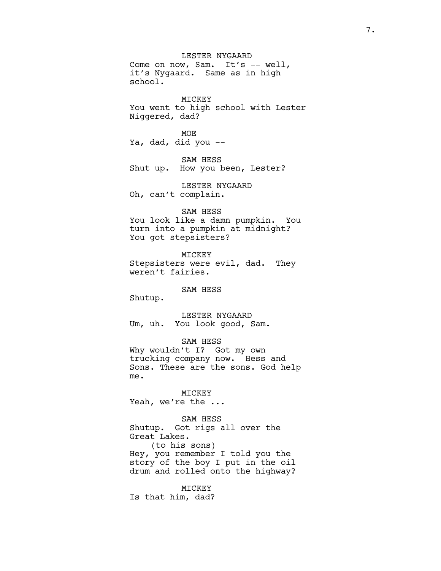LESTER NYGAARD Come on now, Sam. It's -- well, it's Nygaard. Same as in high school. MICKEY You went to high school with Lester Niggered, dad? MOE Ya, dad, did you -- SAM HESS Shut up. How you been, Lester? LESTER NYGAARD Oh, can't complain. SAM HESS You look like a damn pumpkin. You turn into a pumpkin at midnight? You got stepsisters? MICKEY Stepsisters were evil, dad. They weren't fairies. SAM HESS Shutup. LESTER NYGAARD Um, uh. You look good, Sam. SAM HESS Why wouldn't I? Got my own trucking company now. Hess and Sons. These are the sons. God help me. MICKEY Yeah, we're the ...

SAM HESS Shutup. Got rigs all over the Great Lakes. (to his sons) Hey, you remember I told you the story of the boy I put in the oil drum and rolled onto the highway?

MICKEY Is that him, dad?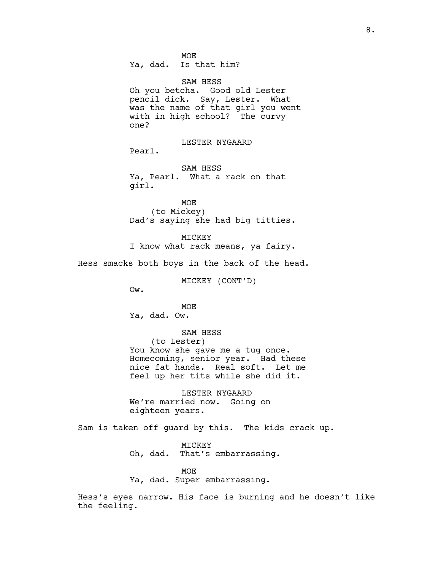MOE Ya, dad. Is that him?

SAM HESS Oh you betcha. Good old Lester pencil dick. Say, Lester. What was the name of that girl you went with in high school? The curvy one?

LESTER NYGAARD Pearl.

SAM HESS Ya, Pearl. What a rack on that girl.

MOE (to Mickey) Dad's saying she had big titties.

MICKEY I know what rack means, ya fairy.

Hess smacks both boys in the back of the head.

MICKEY (CONT'D)

Ow.

MOE Ya, dad. Ow.

SAM HESS (to Lester) You know she gave me a tug once. Homecoming, senior year. Had these nice fat hands. Real soft. Let me feel up her tits while she did it.

LESTER NYGAARD We're married now. Going on eighteen years.

Sam is taken off guard by this. The kids crack up.

MICKEY Oh, dad. That's embarrassing.

MOE Ya, dad. Super embarrassing.

Hess's eyes narrow. His face is burning and he doesn't like the feeling.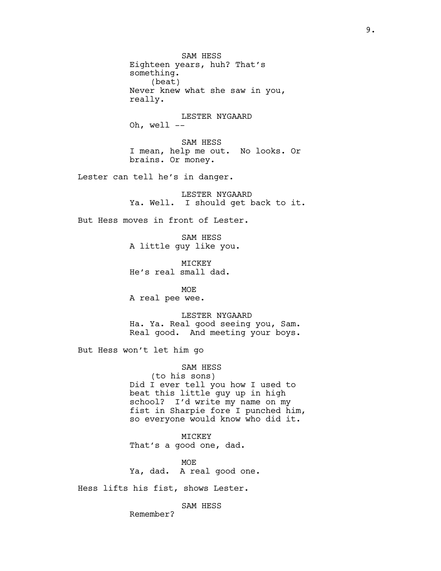SAM HESS Eighteen years, huh? That's something. (beat) Never knew what she saw in you, really.

LESTER NYGAARD Oh, well --

SAM HESS I mean, help me out. No looks. Or brains. Or money.

Lester can tell he's in danger.

LESTER NYGAARD Ya. Well. I should get back to it.

But Hess moves in front of Lester.

SAM HESS A little guy like you.

MICKEY He's real small dad.

MOE A real pee wee.

LESTER NYGAARD Ha. Ya. Real good seeing you, Sam. Real good. And meeting your boys.

But Hess won't let him go

SAM HESS (to his sons) Did I ever tell you how I used to beat this little guy up in high school? I'd write my name on my fist in Sharpie fore I punched him, so everyone would know who did it.

MICKEY That's a good one, dad.

MOE Ya, dad. A real good one.

Hess lifts his fist, shows Lester.

SAM HESS

Remember?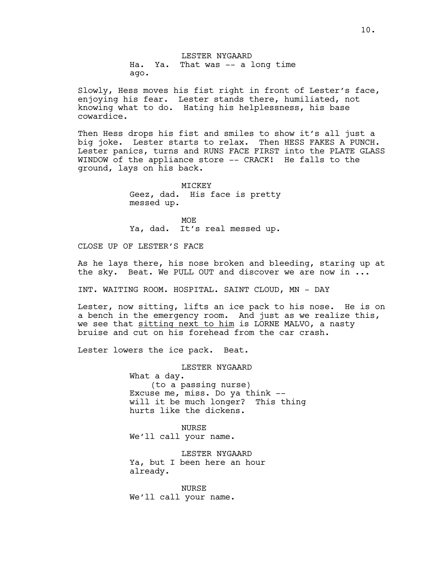LESTER NYGAARD Ha. Ya. That was -- a long time ago.

Slowly, Hess moves his fist right in front of Lester's face, enjoying his fear. Lester stands there, humiliated, not knowing what to do. Hating his helplessness, his base cowardice.

Then Hess drops his fist and smiles to show it's all just a big joke. Lester starts to relax. Then HESS FAKES A PUNCH. Lester panics, turns and RUNS FACE FIRST into the PLATE GLASS WINDOW of the appliance store -- CRACK! He falls to the ground, lays on his back.

> **MTCKEY** Geez, dad. His face is pretty messed up.

> MOE Ya, dad. It's real messed up.

CLOSE UP OF LESTER'S FACE

As he lays there, his nose broken and bleeding, staring up at the sky. Beat. We PULL OUT and discover we are now in ...

INT. WAITING ROOM. HOSPITAL. SAINT CLOUD, MN - DAY

Lester, now sitting, lifts an ice pack to his nose. He is on a bench in the emergency room. And just as we realize this, we see that sitting next to him is LORNE MALVO, a nasty bruise and cut on his forehead from the car crash.

Lester lowers the ice pack. Beat.

LESTER NYGAARD What a day. (to a passing nurse) Excuse me, miss. Do ya think - will it be much longer? This thing hurts like the dickens.

NURSE We'll call your name.

LESTER NYGAARD Ya, but I been here an hour already.

NURSE We'll call your name.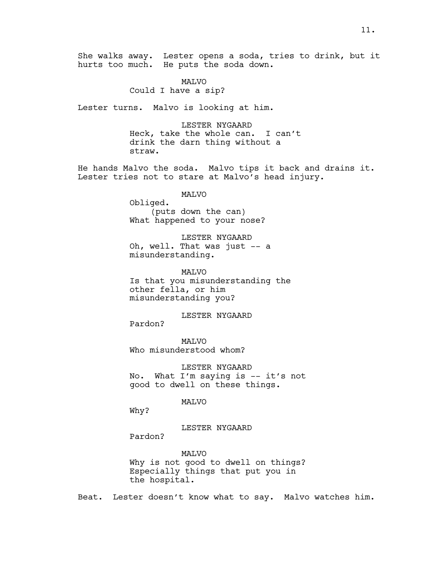She walks away. Lester opens a soda, tries to drink, but it hurts too much. He puts the soda down.

#### MALVO

Could I have a sip?

Lester turns. Malvo is looking at him.

LESTER NYGAARD Heck, take the whole can. I can't drink the darn thing without a straw.

He hands Malvo the soda. Malvo tips it back and drains it. Lester tries not to stare at Malvo's head injury.

MALVO

Obliged. (puts down the can) What happened to your nose?

LESTER NYGAARD Oh, well. That was just -- a misunderstanding.

MALVO Is that you misunderstanding the other fella, or him misunderstanding you?

LESTER NYGAARD

MALVO Who misunderstood whom?

LESTER NYGAARD No. What I'm saying is -- it's not good to dwell on these things.

#### MALVO

Why?

# LESTER NYGAARD

Pardon?

Pardon?

MALVO Why is not good to dwell on things? Especially things that put you in the hospital.

Beat. Lester doesn't know what to say. Malvo watches him.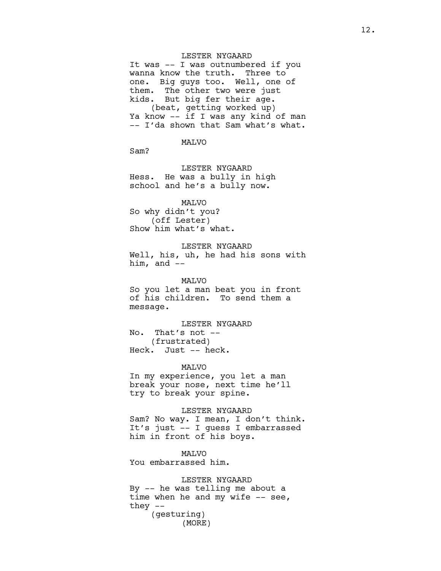## LESTER NYGAARD

It was -- I was outnumbered if you wanna know the truth. Three to one. Big guys too. Well, one of them. The other two were just kids. But big fer their age. (beat, getting worked up) Ya know -- if I was any kind of man -- I'da shown that Sam what's what.

MALVO

Sam?

LESTER NYGAARD Hess. He was a bully in high school and he's a bully now.

MALVO So why didn't you? (off Lester) Show him what's what.

LESTER NYGAARD Well, his, uh, he had his sons with him, and  $-$ 

MALVO So you let a man beat you in front of his children. To send them a message.

LESTER NYGAARD No. That's not -- (frustrated) Heck. Just -- heck.

MALVO

In my experience, you let a man break your nose, next time he'll try to break your spine.

LESTER NYGAARD

Sam? No way. I mean, I don't think. It's just -- I guess I embarrassed him in front of his boys.

**MAT<sub>VO</sub>** You embarrassed him.

LESTER NYGAARD By -- he was telling me about a time when he and my wife  $--$  see, they -- (gesturing) (MORE)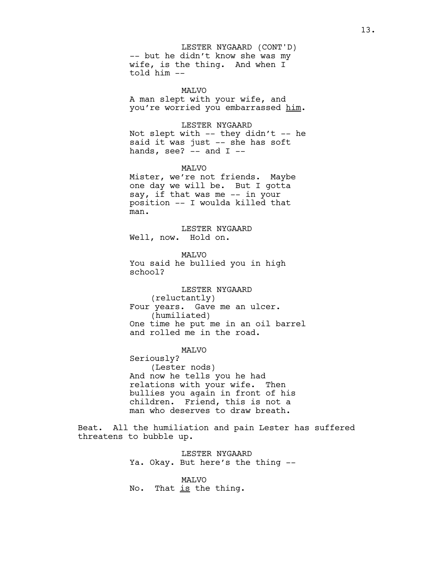-- but he didn't know she was my wife, is the thing. And when I told him -- LESTER NYGAARD (CONT'D)

MALVO A man slept with your wife, and you're worried you embarrassed him.

LESTER NYGAARD

Not slept with  $--$  they didn't  $--$  he said it was just -- she has soft hands, see?  $--$  and  $I$   $--$ 

MALVO

Mister, we're not friends. Maybe one day we will be. But I gotta say, if that was me -- in your position -- I woulda killed that man.

LESTER NYGAARD Well, now. Hold on.

MALVO You said he bullied you in high school?

LESTER NYGAARD (reluctantly) Four years. Gave me an ulcer. (humiliated) One time he put me in an oil barrel and rolled me in the road.

MALVO

Seriously? (Lester nods) And now he tells you he had relations with your wife. Then bullies you again in front of his children. Friend, this is not a man who deserves to draw breath.

Beat. All the humiliation and pain Lester has suffered threatens to bubble up.

> LESTER NYGAARD Ya. Okay. But here's the thing --

MALVO No. That is the thing.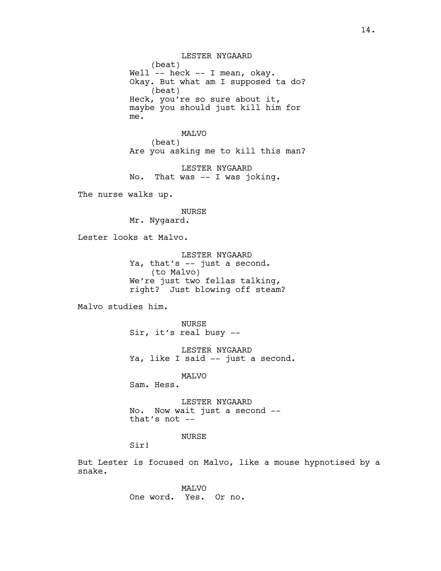LESTER NYGAARD (beat) Well -- heck -- I mean, okay. Okay. But what am I supposed ta do? (beat) Heck, you're so sure about it, maybe you should just kill him for me.

# MALVO (beat) Are you asking me to kill this man?

LESTER NYGAARD No. That was -- I was joking.

The nurse walks up.

NURSE

Mr. Nygaard.

Lester looks at Malvo.

LESTER NYGAARD Ya, that's -- just a second. (to Malvo) We're just two fellas talking, right? Just blowing off steam?

Malvo studies him.

NURSE Sir, it's real busy --

LESTER NYGAARD Ya, like I said -- just a second.

MALVO

Sam. Hess.

LESTER NYGAARD No. Now wait just a second - that's not --

NURSE

Sir!

But Lester is focused on Malvo, like a mouse hypnotised by a snake.

> MALVO One word. Yes. Or no.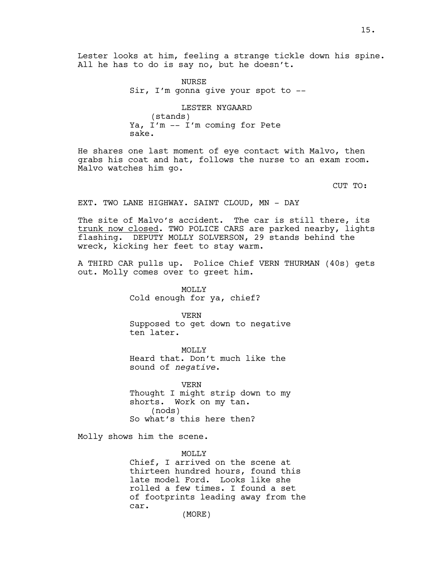Lester looks at him, feeling a strange tickle down his spine. All he has to do is say no, but he doesn't.

> NURSE Sir, I'm gonna give your spot to --

LESTER NYGAARD (stands) Ya, I'm -- I'm coming for Pete sake.

He shares one last moment of eye contact with Malvo, then grabs his coat and hat, follows the nurse to an exam room. Malvo watches him go.

CUT TO:

EXT. TWO LANE HIGHWAY. SAINT CLOUD, MN - DAY

The site of Malvo's accident. The car is still there, its trunk now closed. TWO POLICE CARS are parked nearby, lights flashing. DEPUTY MOLLY SOLVERSON, 29 stands behind the wreck, kicking her feet to stay warm.

A THIRD CAR pulls up. Police Chief VERN THURMAN (40s) gets out. Molly comes over to greet him.

> MOLLY Cold enough for ya, chief?

VERN Supposed to get down to negative ten later.

MOLLY Heard that. Don't much like the sound of *negative*.

VERN Thought I might strip down to my shorts. Work on my tan. (nods) So what's this here then?

Molly shows him the scene.

MOLLY Chief, I arrived on the scene at thirteen hundred hours, found this late model Ford. Looks like she rolled a few times. I found a set of footprints leading away from the car.

(MORE)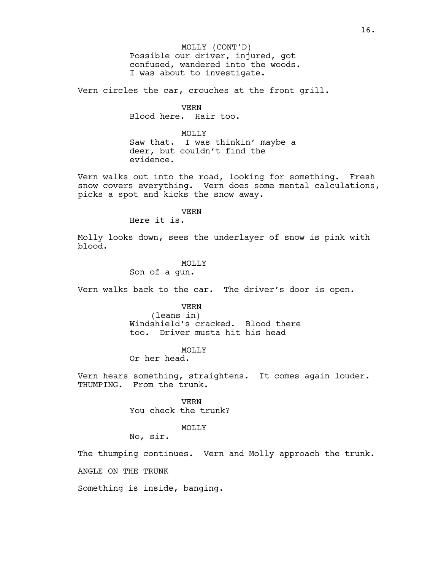Possible our driver, injured, got confused, wandered into the woods. I was about to investigate. MOLLY (CONT'D)

Vern circles the car, crouches at the front grill.

VERN Blood here. Hair too.

MOLLY<sub>N</sub> Saw that. I was thinkin' maybe a deer, but couldn't find the evidence.

Vern walks out into the road, looking for something. Fresh snow covers everything. Vern does some mental calculations, picks a spot and kicks the snow away.

VERN

Here it is.

Molly looks down, sees the underlayer of snow is pink with blood.

> **MOLLY** Son of a gun.

Vern walks back to the car. The driver's door is open.

VERN

(leans in) Windshield's cracked. Blood there too. Driver musta hit his head

MOLLY

Or her head.

Vern hears something, straightens. It comes again louder. THUMPING. From the trunk.

> VERN You check the trunk?

> > MOLLY

No, sir.

The thumping continues. Vern and Molly approach the trunk.

ANGLE ON THE TRUNK

Something is inside, banging.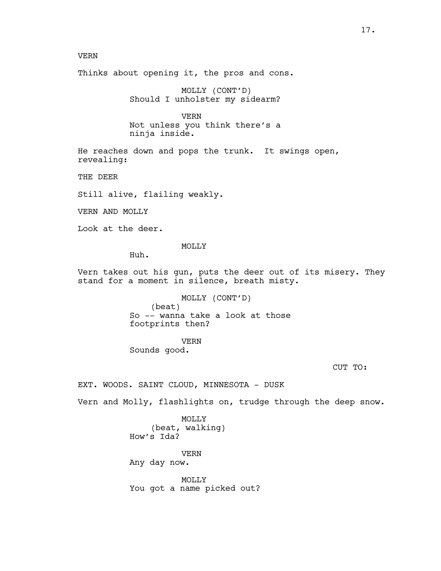## VERN

Thinks about opening it, the pros and cons.

MOLLY (CONT'D) Should I unholster my sidearm?

VERN Not unless you think there's a ninja inside.

He reaches down and pops the trunk. It swings open, revealing:

THE DEER

Still alive, flailing weakly.

VERN AND MOLLY

Look at the deer.

MOLLY

Huh.

Vern takes out his gun, puts the deer out of its misery. They stand for a moment in silence, breath misty.

> MOLLY (CONT'D) (beat) So -- wanna take a look at those footprints then?

VERN Sounds good.

CUT TO:

EXT. WOODS. SAINT CLOUD, MINNESOTA - DUSK

Vern and Molly, flashlights on, trudge through the deep snow.

MOLLY (beat, walking) How's Ida?

VERN Any day now.

MOLLY You got a name picked out?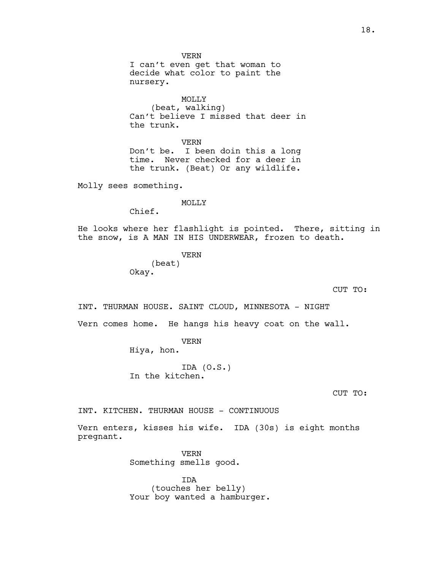VERN I can't even get that woman to decide what color to paint the nursery. MOLLY (beat, walking) Can't believe I missed that deer in the trunk. VERN Don't be. I been doin this a long time. Never checked for a deer in the trunk. (Beat) Or any wildlife. Molly sees something. MOLLY Chief. He looks where her flashlight is pointed. There, sitting in the snow, is A MAN IN HIS UNDERWEAR, frozen to death. VERN (beat) Okay. CUT TO: INT. THURMAN HOUSE. SAINT CLOUD, MINNESOTA - NIGHT Vern comes home. He hangs his heavy coat on the wall. VERN Hiya, hon. IDA (O.S.)

In the kitchen.

CUT TO:

INT. KITCHEN. THURMAN HOUSE - CONTINUOUS

Vern enters, kisses his wife. IDA (30s) is eight months pregnant.

> VERN Something smells good.

IDA (touches her belly) Your boy wanted a hamburger.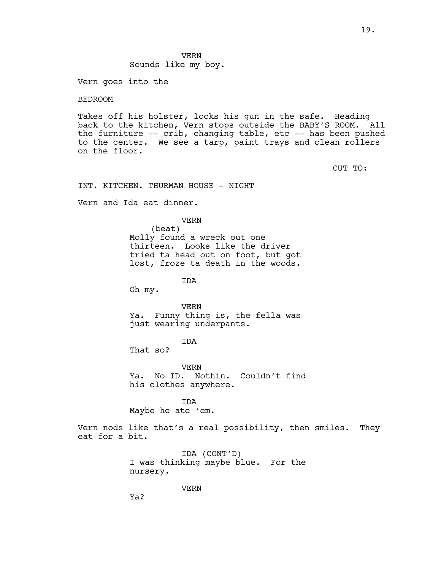VERN Sounds like my boy.

Vern goes into the

## BEDROOM

Takes off his holster, locks his gun in the safe. Heading back to the kitchen, Vern stops outside the BABY'S ROOM. All the furniture -- crib, changing table, etc -- has been pushed to the center. We see a tarp, paint trays and clean rollers on the floor.

CUT TO:

INT. KITCHEN. THURMAN HOUSE - NIGHT

Vern and Ida eat dinner.

VERN

(beat) Molly found a wreck out one thirteen. Looks like the driver tried ta head out on foot, but got lost, froze ta death in the woods.

IDA

Oh my.

VERN Ya. Funny thing is, the fella was just wearing underpants.

IDA

That so?

VERN Ya. No ID. Nothin. Couldn't find his clothes anywhere.

IDA Maybe he ate 'em.

Vern nods like that's a real possibility, then smiles. They eat for a bit.

> IDA (CONT'D) I was thinking maybe blue. For the nursery.

> > VERN

Ya?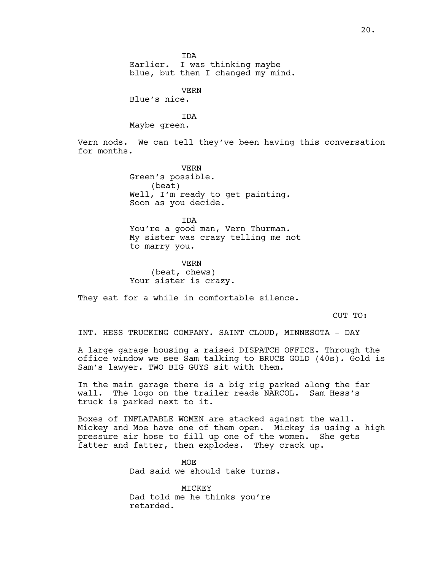IDA Earlier. I was thinking maybe blue, but then I changed my mind.

VERN

Blue's nice.

IDA

Maybe green.

Vern nods. We can tell they've been having this conversation for months.

> VERN Green's possible. (beat) Well, I'm ready to get painting. Soon as you decide.

IDA You're a good man, Vern Thurman. My sister was crazy telling me not to marry you.

VERN (beat, chews) Your sister is crazy.

They eat for a while in comfortable silence.

CUT TO:

INT. HESS TRUCKING COMPANY. SAINT CLOUD, MINNESOTA - DAY

A large garage housing a raised DISPATCH OFFICE. Through the office window we see Sam talking to BRUCE GOLD (40s). Gold is Sam's lawyer. TWO BIG GUYS sit with them.

In the main garage there is a big rig parked along the far wall. The logo on the trailer reads NARCOL. Sam Hess's truck is parked next to it.

Boxes of INFLATABLE WOMEN are stacked against the wall. Mickey and Moe have one of them open. Mickey is using a high pressure air hose to fill up one of the women. She gets fatter and fatter, then explodes. They crack up.

> MOE Dad said we should take turns.

MICKEY Dad told me he thinks you're retarded.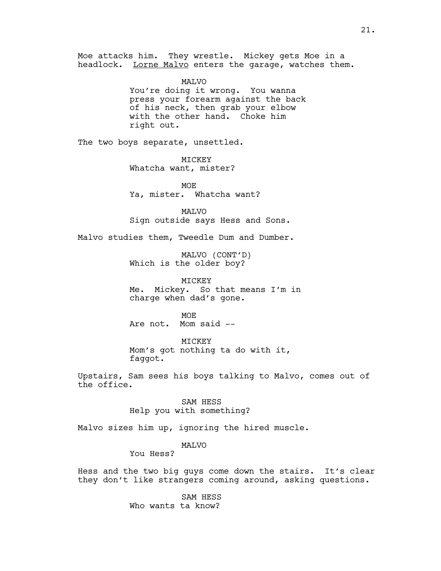Moe attacks him. They wrestle. Mickey gets Moe in a headlock. Lorne Malvo enters the garage, watches them.

> MALVO You're doing it wrong. You wanna press your forearm against the back of his neck, then grab your elbow with the other hand. Choke him right out.

The two boys separate, unsettled.

MICKEY Whatcha want, mister?

MOE Ya, mister. Whatcha want?

MALVO Sign outside says Hess and Sons.

Malvo studies them, Tweedle Dum and Dumber.

MALVO (CONT'D) Which is the older boy?

MICKEY Me. Mickey. So that means I'm in charge when dad's gone.

**MOE** Are not. Mom said --

MICKEY Mom's got nothing ta do with it, faggot.

Upstairs, Sam sees his boys talking to Malvo, comes out of the office.

> SAM HESS Help you with something?

Malvo sizes him up, ignoring the hired muscle.

MALVO

You Hess?

Hess and the two big guys come down the stairs. It's clear they don't like strangers coming around, asking questions.

> SAM HESS Who wants ta know?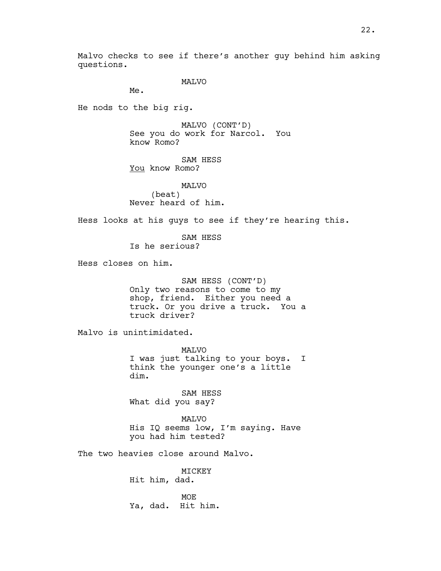Malvo checks to see if there's another guy behind him asking questions.

MALVO

Me.

He nods to the big rig.

MALVO (CONT'D) See you do work for Narcol. You know Romo?

SAM HESS You know Romo?

MALVO (beat) Never heard of him.

Hess looks at his guys to see if they're hearing this.

SAM HESS Is he serious?

Hess closes on him.

SAM HESS (CONT'D) Only two reasons to come to my shop, friend. Either you need a truck. Or you drive a truck. You a truck driver?

Malvo is unintimidated.

MALVO I was just talking to your boys. I think the younger one's a little dim.

SAM HESS What did you say?

MALVO His IQ seems low, I'm saying. Have you had him tested?

The two heavies close around Malvo.

MICKEY Hit him, dad.

MOE Ya, dad. Hit him.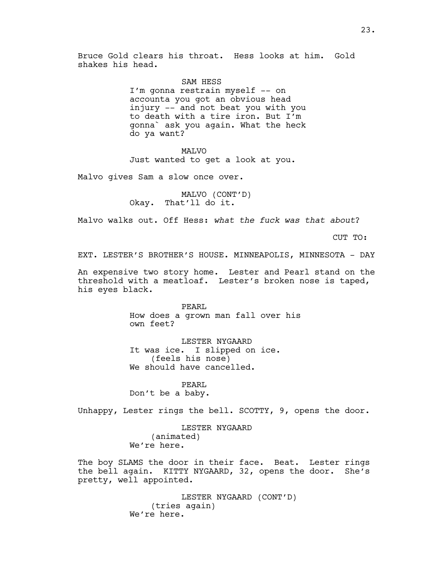Bruce Gold clears his throat. Hess looks at him. Gold shakes his head.

SAM HESS

I'm gonna restrain myself -- on accounta you got an obvious head injury -- and not beat you with you to death with a tire iron. But I'm gonna` ask you again. What the heck do ya want?

MALVO

Just wanted to get a look at you.

Malvo gives Sam a slow once over.

MALVO (CONT'D) Okay. That'll do it.

Malvo walks out. Off Hess: *what the fuck was that about*?

CUT TO:

EXT. LESTER'S BROTHER'S HOUSE. MINNEAPOLIS, MINNESOTA - DAY

An expensive two story home. Lester and Pearl stand on the threshold with a meatloaf. Lester's broken nose is taped, his eyes black.

> PEARL How does a grown man fall over his own feet?

LESTER NYGAARD It was ice. I slipped on ice. (feels his nose) We should have cancelled.

PEARL Don't be a baby.

Unhappy, Lester rings the bell. SCOTTY, 9, opens the door.

LESTER NYGAARD (animated) We're here.

The boy SLAMS the door in their face. Beat. Lester rings the bell again. KITTY NYGAARD, 32, opens the door. She's pretty, well appointed.

> LESTER NYGAARD (CONT'D) (tries again) We're here.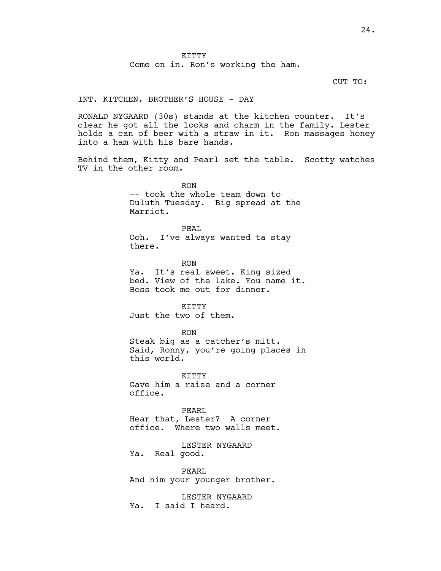KITTY Come on in. Ron's working the ham.

CUT TO:

## INT. KITCHEN. BROTHER'S HOUSE - DAY

RONALD NYGAARD (30s) stands at the kitchen counter. It's clear he got all the looks and charm in the family. Lester holds a can of beer with a straw in it. Ron massages honey into a ham with his bare hands.

Behind them, Kitty and Pearl set the table. Scotty watches TV in the other room.

> RON -- took the whole team down to Duluth Tuesday. Big spread at the Marriot.

PEAL Ooh. I've always wanted ta stay there.

RON Ya. It's real sweet. King sized bed. View of the lake. You name it. Boss took me out for dinner.

KTTTY Just the two of them.

#### RON

Steak big as a catcher's mitt. Said, Ronny, you're going places in this world.

KTTTY Gave him a raise and a corner office.

PEARL

Hear that, Lester? A corner office. Where two walls meet.

LESTER NYGAARD Ya. Real good.

PEARL And him your younger brother.

LESTER NYGAARD Ya. I said I heard.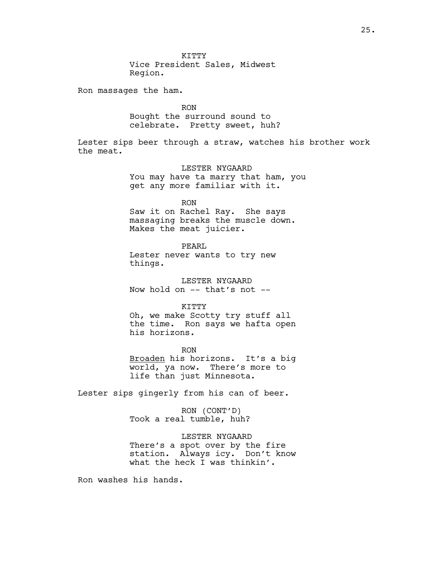Ron massages the ham.

RON Bought the surround sound to celebrate. Pretty sweet, huh?

Lester sips beer through a straw, watches his brother work the meat.

> LESTER NYGAARD You may have ta marry that ham, you get any more familiar with it.

RON Saw it on Rachel Ray. She says massaging breaks the muscle down.

PEARL Lester never wants to try new things.

Makes the meat juicier.

LESTER NYGAARD Now hold on -- that's not --

KITTY Oh, we make Scotty try stuff all the time. Ron says we hafta open his horizons.

RON Broaden his horizons. It's a big world, ya now. There's more to life than just Minnesota.

Lester sips gingerly from his can of beer.

RON (CONT'D) Took a real tumble, huh?

LESTER NYGAARD There's a spot over by the fire station. Always icy. Don't know what the heck I was thinkin'.

Ron washes his hands.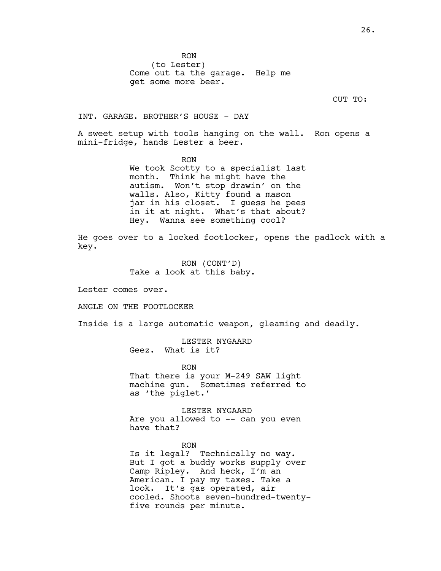RON (to Lester) Come out ta the garage. Help me get some more beer.

CUT TO:

INT. GARAGE. BROTHER'S HOUSE - DAY

A sweet setup with tools hanging on the wall. Ron opens a mini-fridge, hands Lester a beer.

> RON We took Scotty to a specialist last month. Think he might have the autism. Won't stop drawin' on the walls. Also, Kitty found a mason jar in his closet. I guess he pees in it at night. What's that about? Hey. Wanna see something cool?

He goes over to a locked footlocker, opens the padlock with a key.

> RON (CONT'D) Take a look at this baby.

Lester comes over.

ANGLE ON THE FOOTLOCKER

Inside is a large automatic weapon, gleaming and deadly.

LESTER NYGAARD Geez. What is it?

RON

That there is your M-249 SAW light machine gun. Sometimes referred to as 'the piglet.'

LESTER NYGAARD Are you allowed to -- can you even have that?

RON Is it legal? Technically no way. But I got a buddy works supply over Camp Ripley. And heck, I'm an American. I pay my taxes. Take a look. It's gas operated, air cooled. Shoots seven-hundred-twentyfive rounds per minute.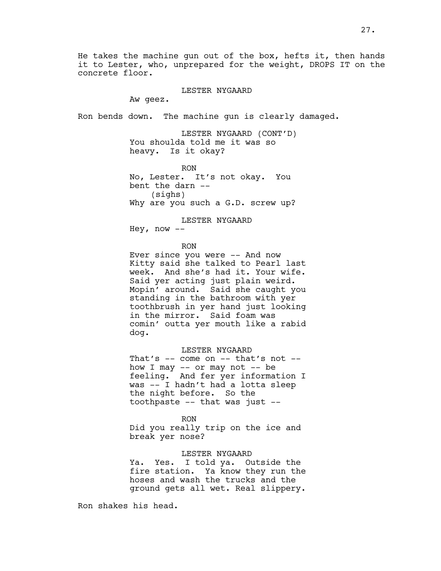He takes the machine gun out of the box, hefts it, then hands it to Lester, who, unprepared for the weight, DROPS IT on the concrete floor.

LESTER NYGAARD

Aw geez.

Ron bends down. The machine gun is clearly damaged.

LESTER NYGAARD (CONT'D) You shoulda told me it was so heavy. Is it okay?

RON No, Lester. It's not okay. You bent the darn -- (sighs) Why are you such a G.D. screw up?

LESTER NYGAARD Hey, now  $--$ 

RON

Ever since you were -- And now Kitty said she talked to Pearl last week. And she's had it. Your wife. Said yer acting just plain weird. Mopin' around. Said she caught you standing in the bathroom with yer toothbrush in yer hand just looking in the mirror. Said foam was comin' outta yer mouth like a rabid dog.

LESTER NYGAARD That's  $--$  come on  $--$  that's not  $-$ how I may  $--$  or may not  $--$  be feeling. And fer yer information I was -- I hadn't had a lotta sleep the night before. So the toothpaste -- that was just --

RON Did you really trip on the ice and break yer nose?

## LESTER NYGAARD

Ya. Yes. I told ya. Outside the fire station. Ya know they run the hoses and wash the trucks and the ground gets all wet. Real slippery.

Ron shakes his head.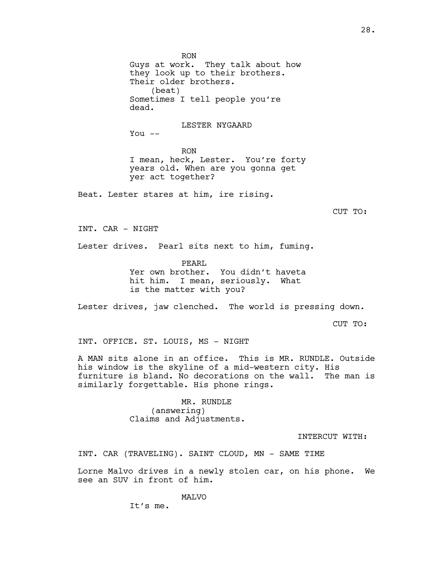Guys at work. They talk about how they look up to their brothers. Their older brothers. (beat) Sometimes I tell people you're dead. LESTER NYGAARD You  $--$ RON I mean, heck, Lester. You're forty years old. When are you gonna get yer act together? Beat. Lester stares at him, ire rising. CUT TO: INT. CAR - NIGHT Lester drives. Pearl sits next to him, fuming. PEARL Yer own brother. You didn't haveta hit him. I mean, seriously. What is the matter with you? Lester drives, jaw clenched. The world is pressing down. CUT TO: INT. OFFICE. ST. LOUIS, MS - NIGHT A MAN sits alone in an office. This is MR. RUNDLE. Outside

his window is the skyline of a mid-western city. His furniture is bland. No decorations on the wall. The man is similarly forgettable. His phone rings.

> MR. RUNDLE (answering) Claims and Adjustments.

RON

INTERCUT WITH:

INT. CAR (TRAVELING). SAINT CLOUD, MN - SAME TIME

Lorne Malvo drives in a newly stolen car, on his phone. We see an SUV in front of him.

MALVO

It's me.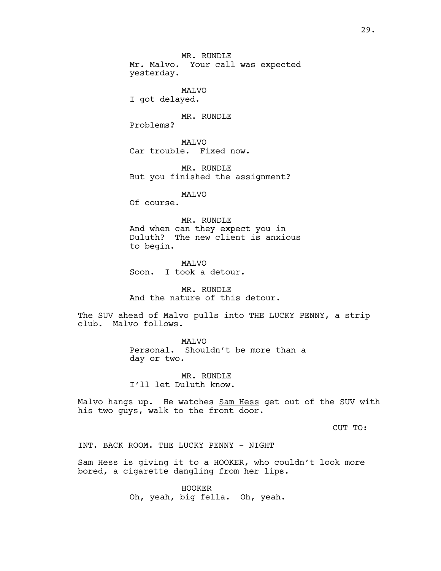MR. RUNDLE Mr. Malvo. Your call was expected yesterday.

MALVO

I got delayed.

MR. RUNDLE

Problems?

MALVO Car trouble. Fixed now.

MR. RUNDLE But you finished the assignment?

MALVO

Of course.

MR. RUNDLE And when can they expect you in Duluth? The new client is anxious to begin.

**MAT<sub>VO</sub>** Soon. I took a detour.

MR. RUNDLE And the nature of this detour.

The SUV ahead of Malvo pulls into THE LUCKY PENNY, a strip club. Malvo follows.

> MALVO Personal. Shouldn't be more than a day or two.

MR. RUNDLE I'll let Duluth know.

Malvo hangs up. He watches Sam Hess get out of the SUV with his two guys, walk to the front door.

CUT TO:

INT. BACK ROOM. THE LUCKY PENNY - NIGHT

Sam Hess is giving it to a HOOKER, who couldn't look more bored, a cigarette dangling from her lips.

> HOOKER Oh, yeah, big fella. Oh, yeah.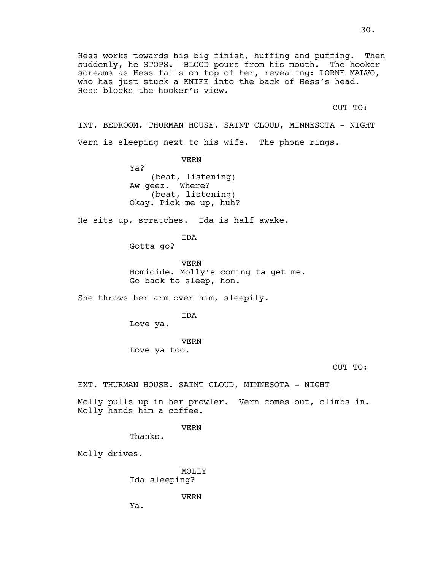Hess works towards his big finish, huffing and puffing. Then suddenly, he STOPS. BLOOD pours from his mouth. The hooker screams as Hess falls on top of her, revealing: LORNE MALVO, who has just stuck a KNIFE into the back of Hess's head. Hess blocks the hooker's view.

CUT TO:

INT. BEDROOM. THURMAN HOUSE. SAINT CLOUD, MINNESOTA - NIGHT Vern is sleeping next to his wife. The phone rings.

> VERN Ya? (beat, listening) Aw geez. Where? (beat, listening) Okay. Pick me up, huh?

He sits up, scratches. Ida is half awake.

IDA

Gotta go?

VERN Homicide. Molly's coming ta get me. Go back to sleep, hon.

She throws her arm over him, sleepily.

IDA

Love ya.

VERN Love ya too.

CUT TO:

EXT. THURMAN HOUSE. SAINT CLOUD, MINNESOTA - NIGHT

Molly pulls up in her prowler. Vern comes out, climbs in. Molly hands him a coffee.

VERN

Thanks.

Molly drives.

MOLLY Ida sleeping?

VERN

Ya.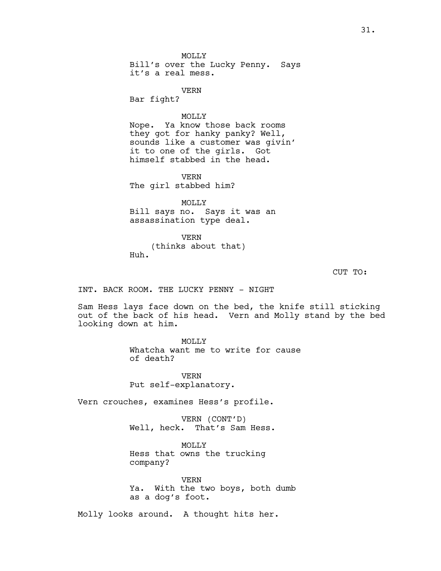MOLLY Bill's over the Lucky Penny. Says it's a real mess.

VERN

Bar fight?

## MOLLY

Nope. Ya know those back rooms they got for hanky panky? Well, sounds like a customer was givin' it to one of the girls. Got himself stabbed in the head.

VERN The girl stabbed him?

MOLLY Bill says no. Says it was an assassination type deal.

VERN (thinks about that) Huh.

CUT TO:

INT. BACK ROOM. THE LUCKY PENNY - NIGHT

Sam Hess lays face down on the bed, the knife still sticking out of the back of his head. Vern and Molly stand by the bed looking down at him.

> MOLLY Whatcha want me to write for cause of death?

VERN Put self-explanatory.

Vern crouches, examines Hess's profile.

VERN (CONT'D) Well, heck. That's Sam Hess.

MOLLY Hess that owns the trucking company?

VERN Ya. With the two boys, both dumb as a dog's foot.

Molly looks around. A thought hits her.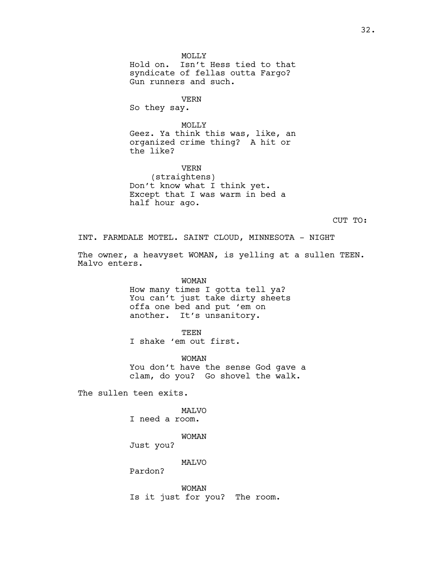MOLLY Hold on. Isn't Hess tied to that syndicate of fellas outta Fargo? Gun runners and such.

VERN So they say.

MOLLY Geez. Ya think this was, like, an organized crime thing? A hit or the like?

VERN (straightens) Don't know what I think yet. Except that I was warm in bed a half hour ago.

CUT TO:

INT. FARMDALE MOTEL. SAINT CLOUD, MINNESOTA - NIGHT

The owner, a heavyset WOMAN, is yelling at a sullen TEEN. Malvo enters.

> WOMAN How many times I gotta tell ya? You can't just take dirty sheets offa one bed and put 'em on another. It's unsanitory.

TEEN I shake 'em out first.

WOMAN You don't have the sense God gave a clam, do you? Go shovel the walk.

The sullen teen exits.

MALVO I need a room.

WOMAN

Just you?

MALVO

Pardon?

WOMAN Is it just for you? The room.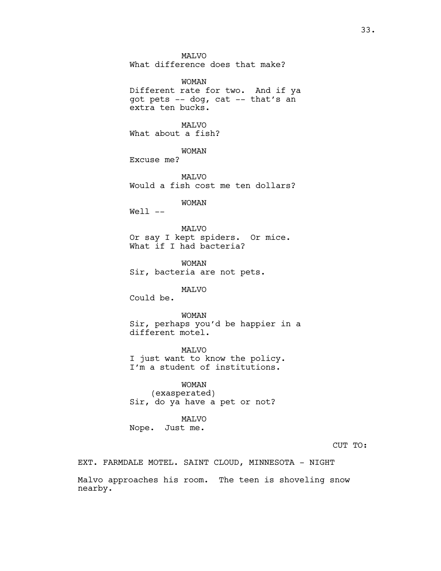MALVO What difference does that make? WOMAN Different rate for two. And if ya got pets -- dog, cat -- that's an extra ten bucks. MALVO What about a fish? WOMAN Excuse me? MALVO Would a fish cost me ten dollars? WOMAN Well -- MALVO Or say I kept spiders. Or mice. What if I had bacteria? WOMAN Sir, bacteria are not pets. MALVO Could be. WOMAN Sir, perhaps you'd be happier in a different motel. MALVO I just want to know the policy. I'm a student of institutions.

WOMAN (exasperated) Sir, do ya have a pet or not?

## MALVO

Nope. Just me.

CUT TO:

EXT. FARMDALE MOTEL. SAINT CLOUD, MINNESOTA - NIGHT

Malvo approaches his room. The teen is shoveling snow nearby.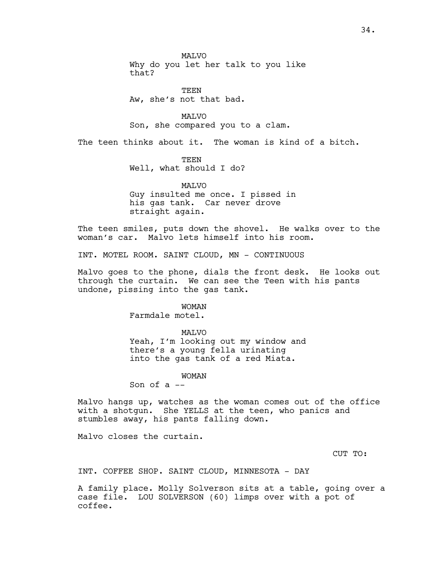**MAT<sub>VO</sub>** Why do you let her talk to you like that?

**TEEN** Aw, she's not that bad.

MALVO Son, she compared you to a clam.

The teen thinks about it. The woman is kind of a bitch.

TEEN Well, what should I do?

MALVO Guy insulted me once. I pissed in his gas tank. Car never drove straight again.

The teen smiles, puts down the shovel. He walks over to the woman's car. Malvo lets himself into his room.

INT. MOTEL ROOM. SAINT CLOUD, MN - CONTINUOUS

Malvo goes to the phone, dials the front desk. He looks out through the curtain. We can see the Teen with his pants undone, pissing into the gas tank.

WOMAN

Farmdale motel.

MALVO

Yeah, I'm looking out my window and there's a young fella urinating into the gas tank of a red Miata.

WOMAN

Son of a --

Malvo hangs up, watches as the woman comes out of the office with a shotgun. She YELLS at the teen, who panics and stumbles away, his pants falling down.

Malvo closes the curtain.

CUT TO:

INT. COFFEE SHOP. SAINT CLOUD, MINNESOTA - DAY

A family place. Molly Solverson sits at a table, going over a case file. LOU SOLVERSON (60) limps over with a pot of coffee.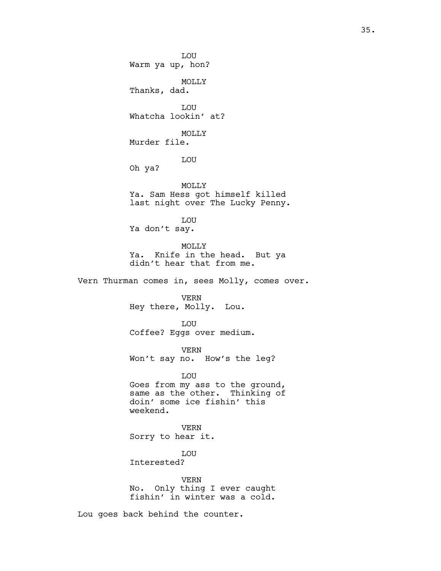LOU Warm ya up, hon? MOLLY Thanks, dad. LOU Whatcha lookin' at? MOLLY Murder file. LOU Oh ya? MOLLY Ya. Sam Hess got himself killed last night over The Lucky Penny. LOU Ya don't say. MOLLY Ya. Knife in the head. But ya didn't hear that from me. Vern Thurman comes in, sees Molly, comes over. VERN Hey there, Molly. Lou. LOU Coffee? Eggs over medium. VERN Won't say no. How's the leg? LOU Goes from my ass to the ground, same as the other. Thinking of doin' some ice fishin' this weekend. VERN Sorry to hear it. LOU Interested?

VERN No. Only thing I ever caught fishin' in winter was a cold.

Lou goes back behind the counter.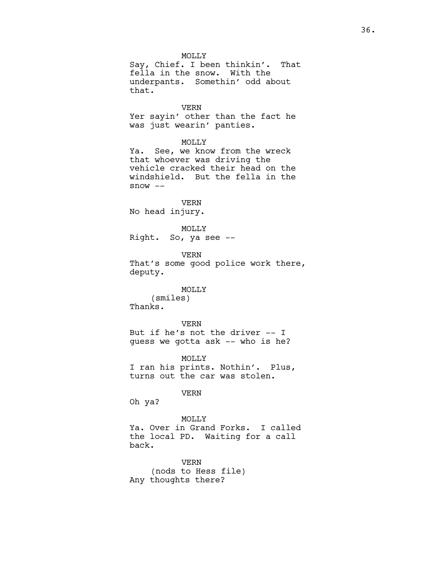MOLLY Say, Chief. I been thinkin'. That fella in the snow. With the underpants. Somethin' odd about that.

VERN Yer sayin' other than the fact he was just wearin' panties.

MOLLY

Ya. See, we know from the wreck that whoever was driving the vehicle cracked their head on the windshield. But the fella in the snow --

VERN No head injury.

MOLLY Right. So, ya see --

VERN That's some good police work there, deputy.

## MOLLY

(smiles) Thanks.

VERN But if he's not the driver -- I guess we gotta ask -- who is he?

MOLLY I ran his prints. Nothin'. Plus, turns out the car was stolen.

VERN

Oh ya?

MOLLY Ya. Over in Grand Forks. I called the local PD. Waiting for a call back.

VERN (nods to Hess file) Any thoughts there?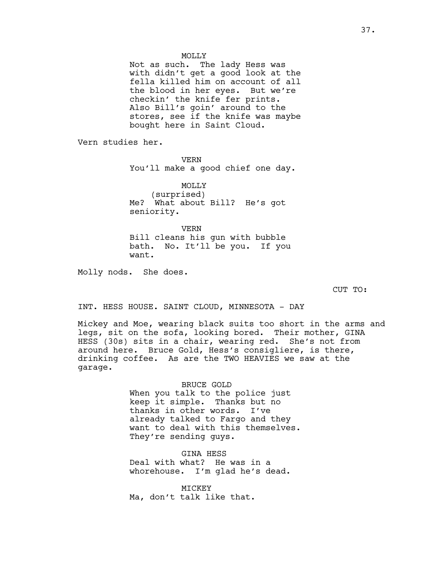Not as such. The lady Hess was with didn't get a good look at the fella killed him on account of all the blood in her eyes. But we're checkin' the knife fer prints. Also Bill's goin' around to the stores, see if the knife was maybe bought here in Saint Cloud.

Vern studies her.

VERN You'll make a good chief one day.

MOLLY (surprised) Me? What about Bill? He's got seniority.

VERN Bill cleans his gun with bubble bath. No. It'll be you. If you want.

Molly nods. She does.

CUT TO:

INT. HESS HOUSE. SAINT CLOUD, MINNESOTA - DAY

Mickey and Moe, wearing black suits too short in the arms and legs, sit on the sofa, looking bored. Their mother, GINA HESS (30s) sits in a chair, wearing red. She's not from around here. Bruce Gold, Hess's consigliere, is there, drinking coffee. As are the TWO HEAVIES we saw at the garage.

> BRUCE GOLD When you talk to the police just keep it simple. Thanks but no thanks in other words. I've already talked to Fargo and they want to deal with this themselves. They're sending guys.

GINA HESS Deal with what? He was in a whorehouse. I'm glad he's dead.

MICKEY Ma, don't talk like that.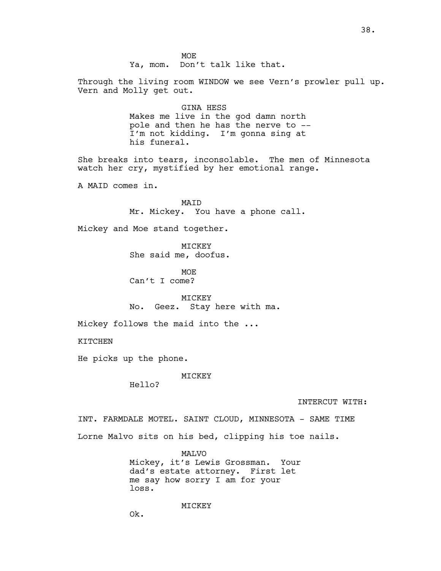MOE Ya, mom. Don't talk like that. Through the living room WINDOW we see Vern's prowler pull up. Vern and Molly get out.

> GINA HESS Makes me live in the god damn north pole and then he has the nerve to -- I'm not kidding. I'm gonna sing at his funeral.

She breaks into tears, inconsolable. The men of Minnesota watch her cry, mystified by her emotional range.

A MAID comes in.

MAID Mr. Mickey. You have a phone call.

Mickey and Moe stand together.

MICKEY She said me, doofus.

MOE Can't I come?

MICKEY No. Geez. Stay here with ma.

Mickey follows the maid into the ...

KITCHEN

He picks up the phone.

MICKEY

Hello?

INTERCUT WITH:

INT. FARMDALE MOTEL. SAINT CLOUD, MINNESOTA - SAME TIME Lorne Malvo sits on his bed, clipping his toe nails.

> MALVO Mickey, it's Lewis Grossman. Your dad's estate attorney. First let me say how sorry I am for your loss.

> > MICKEY

Ok.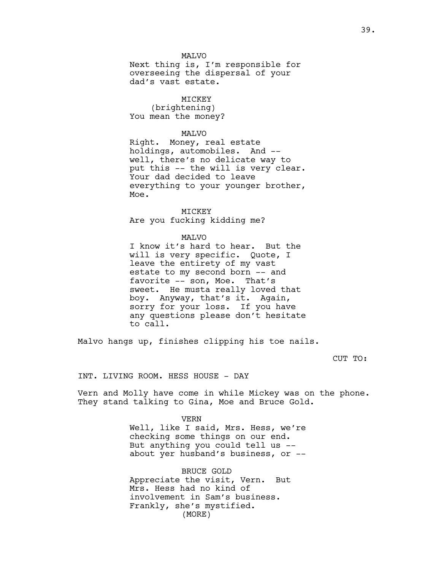Next thing is, I'm responsible for overseeing the dispersal of your dad's vast estate.

## MICKEY

(brightening) You mean the money?

#### MALVO

Right. Money, real estate holdings, automobiles. And - well, there's no delicate way to put this -- the will is very clear. Your dad decided to leave everything to your younger brother, Moe.

MICKEY Are you fucking kidding me?

#### MALVO

I know it's hard to hear. But the will is very specific. Quote, I leave the entirety of my vast estate to my second born -- and favorite -- son, Moe. That's sweet. He musta really loved that boy. Anyway, that's it. Again, sorry for your loss. If you have any questions please don't hesitate to call.

Malvo hangs up, finishes clipping his toe nails.

CUT TO:

INT. LIVING ROOM. HESS HOUSE - DAY

Vern and Molly have come in while Mickey was on the phone. They stand talking to Gina, Moe and Bruce Gold.

> VERN Well, like I said, Mrs. Hess, we're checking some things on our end. But anything you could tell us - about yer husband's business, or --

BRUCE GOLD Appreciate the visit, Vern. But Mrs. Hess had no kind of involvement in Sam's business. Frankly, she's mystified. (MORE)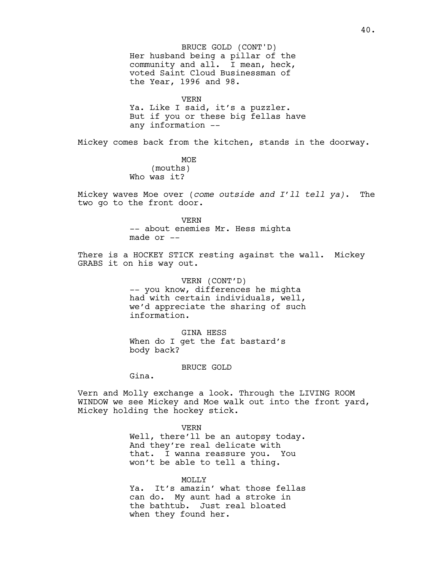Her husband being a pillar of the community and all. I mean, heck, voted Saint Cloud Businessman of the Year, 1996 and 98. BRUCE GOLD (CONT'D)

VERN Ya. Like I said, it's a puzzler. But if you or these big fellas have any information --

Mickey comes back from the kitchen, stands in the doorway.

MOE (mouths) Who was it?

Mickey waves Moe over (*come outside and I'll tell ya)*. The two go to the front door.

> VERN -- about enemies Mr. Hess mighta made or  $-$

There is a HOCKEY STICK resting against the wall. Mickey GRABS it on his way out.

> VERN (CONT'D) -- you know, differences he mighta had with certain individuals, well, we'd appreciate the sharing of such information.

GINA HESS When do I get the fat bastard's body back?

BRUCE GOLD

Gina.

Vern and Molly exchange a look. Through the LIVING ROOM WINDOW we see Mickey and Moe walk out into the front yard, Mickey holding the hockey stick.

> VERN Well, there'll be an autopsy today. And they're real delicate with that. I wanna reassure you. You won't be able to tell a thing.

> MOLLY Ya. It's amazin' what those fellas can do. My aunt had a stroke in the bathtub. Just real bloated when they found her.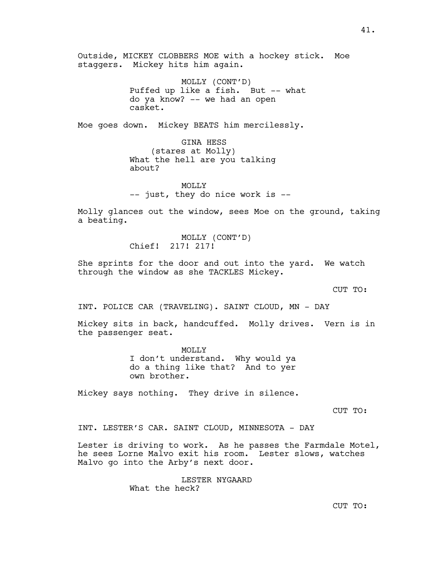Outside, MICKEY CLOBBERS MOE with a hockey stick. Moe staggers. Mickey hits him again.

> MOLLY (CONT'D) Puffed up like a fish. But -- what do ya know? -- we had an open casket.

Moe goes down. Mickey BEATS him mercilessly.

GINA HESS (stares at Molly) What the hell are you talking about?

MOLLY -- just, they do nice work is --

Molly glances out the window, sees Moe on the ground, taking a beating.

> MOLLY (CONT'D) Chief! 217! 217!

She sprints for the door and out into the yard. We watch through the window as she TACKLES Mickey.

CUT TO:

INT. POLICE CAR (TRAVELING). SAINT CLOUD, MN - DAY

Mickey sits in back, handcuffed. Molly drives. Vern is in the passenger seat.

> MOLLY I don't understand. Why would ya do a thing like that? And to yer own brother.

Mickey says nothing. They drive in silence.

CUT TO:

INT. LESTER'S CAR. SAINT CLOUD, MINNESOTA - DAY

Lester is driving to work. As he passes the Farmdale Motel, he sees Lorne Malvo exit his room. Lester slows, watches Malvo go into the Arby's next door.

> LESTER NYGAARD What the heck?

CUT TO: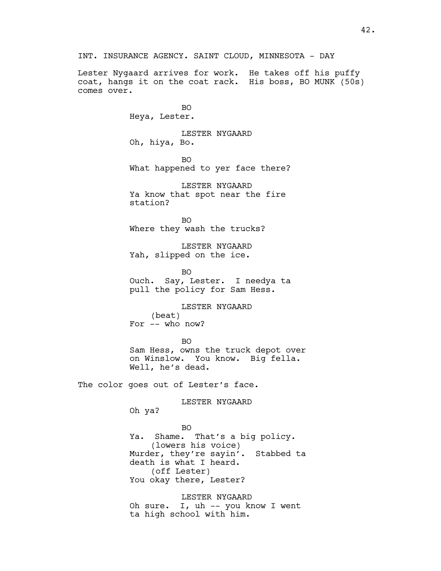Lester Nygaard arrives for work. He takes off his puffy coat, hangs it on the coat rack. His boss, BO MUNK (50s) comes over.

> BO Heya, Lester.

LESTER NYGAARD Oh, hiya, Bo.

BO What happened to yer face there?

LESTER NYGAARD Ya know that spot near the fire station?

BO Where they wash the trucks?

LESTER NYGAARD Yah, slipped on the ice.

BO Ouch. Say, Lester. I needya ta pull the policy for Sam Hess.

LESTER NYGAARD (beat) For -- who now?

BO Sam Hess, owns the truck depot over on Winslow. You know. Big fella. Well, he's dead.

The color goes out of Lester's face.

LESTER NYGAARD

Oh ya?

## BO

Ya. Shame. That's a big policy. (lowers his voice) Murder, they're sayin'. Stabbed ta death is what I heard. (off Lester) You okay there, Lester?

LESTER NYGAARD Oh sure. I, uh -- you know I went ta high school with him.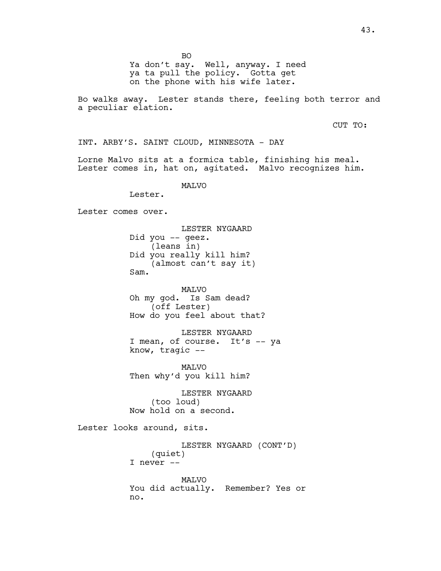BO

Ya don't say. Well, anyway. I need ya ta pull the policy. Gotta get on the phone with his wife later.

Bo walks away. Lester stands there, feeling both terror and a peculiar elation.

CUT TO:

INT. ARBY'S. SAINT CLOUD, MINNESOTA - DAY

Lorne Malvo sits at a formica table, finishing his meal. Lester comes in, hat on, agitated. Malvo recognizes him.

MALVO

Lester.

Lester comes over.

LESTER NYGAARD Did you -- geez. (leans in) Did you really kill him? (almost can't say it) Sam.

MALVO Oh my god. Is Sam dead? (off Lester) How do you feel about that?

LESTER NYGAARD I mean, of course. It's -- ya know, tragic --

MALVO Then why'd you kill him?

LESTER NYGAARD (too loud) Now hold on a second.

Lester looks around, sits.

LESTER NYGAARD (CONT'D) (quiet) I never -- MALVO You did actually. Remember? Yes or no.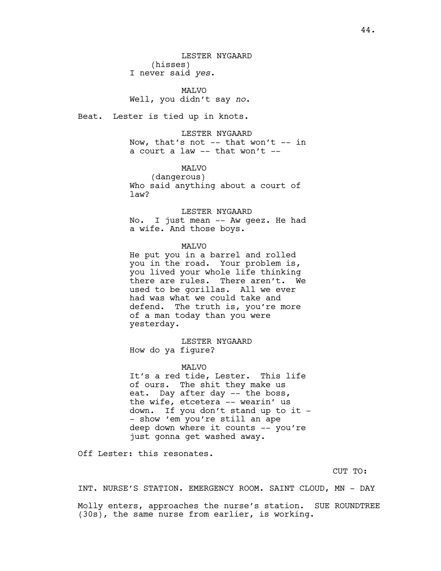MALVO Well, you didn't say *no*.

Beat. Lester is tied up in knots.

LESTER NYGAARD Now, that's not  $--$  that won't  $--$  in a court a law -- that won't --

# **MAT<sub>VO</sub>**

(dangerous) Who said anything about a court of law?

LESTER NYGAARD

No. I just mean -- Aw geez. He had a wife. And those boys.

## MALVO

He put you in a barrel and rolled you in the road. Your problem is, you lived your whole life thinking there are rules. There aren't. We used to be gorillas. All we ever had was what we could take and defend. The truth is, you're more of a man today than you were yesterday.

LESTER NYGAARD How do ya figure?

#### MAT<sub>VO</sub>

It's a red tide, Lester. This life of ours. The shit they make us eat. Day after day -- the boss, the wife, etcetera -- wearin' us down. If you don't stand up to it - - show 'em you're still an ape deep down where it counts -- you're just gonna get washed away.

Off Lester: this resonates.

CUT TO:

INT. NURSE'S STATION. EMERGENCY ROOM. SAINT CLOUD, MN - DAY

Molly enters, approaches the nurse's station. SUE ROUNDTREE (30s), the same nurse from earlier, is working.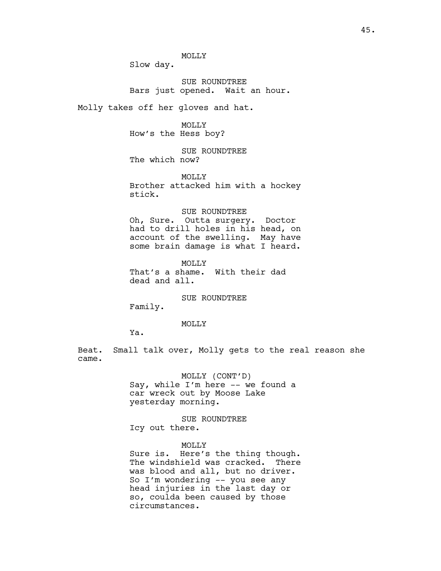Slow day.

SUE ROUNDTREE Bars just opened. Wait an hour.

Molly takes off her gloves and hat.

MOLLY How's the Hess boy?

SUE ROUNDTREE The which now?

MOLLY

Brother attacked him with a hockey stick.

#### SUE ROUNDTREE

Oh, Sure. Outta surgery. Doctor had to drill holes in his head, on account of the swelling. May have some brain damage is what I heard.

MOLLY That's a shame. With their dad dead and all.

SUE ROUNDTREE

Family.

## MOLLY

Ya.

Beat. Small talk over, Molly gets to the real reason she came.

> MOLLY (CONT'D) Say, while I'm here -- we found a car wreck out by Moose Lake yesterday morning.

SUE ROUNDTREE Icy out there.

MOLLY

Sure is. Here's the thing though. The windshield was cracked. There was blood and all, but no driver. So I'm wondering -- you see any head injuries in the last day or so, coulda been caused by those circumstances.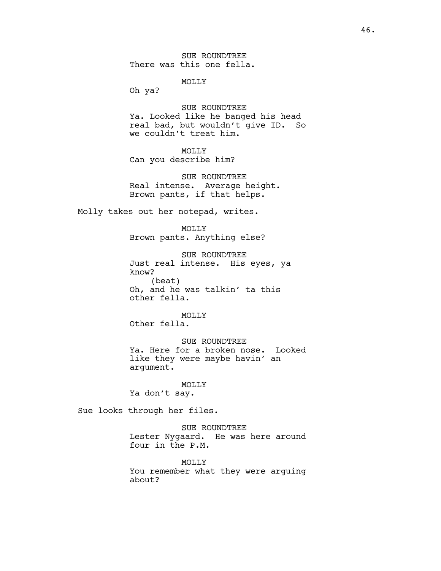SUE ROUNDTREE There was this one fella.

MOLLY

Oh ya?

SUE ROUNDTREE Ya. Looked like he banged his head real bad, but wouldn't give ID. So we couldn't treat him.

# MOLLY

Can you describe him?

SUE ROUNDTREE Real intense. Average height. Brown pants, if that helps.

Molly takes out her notepad, writes.

MOLLY Brown pants. Anything else?

SUE ROUNDTREE Just real intense. His eyes, ya know? (beat) Oh, and he was talkin' ta this other fella.

MOLLY Other fella.

SUE ROUNDTREE Ya. Here for a broken nose. Looked like they were maybe havin' an argument.

#### MOLLY

Ya don't say.

Sue looks through her files.

SUE ROUNDTREE Lester Nygaard. He was here around four in the P.M.

MOLLY You remember what they were arguing about?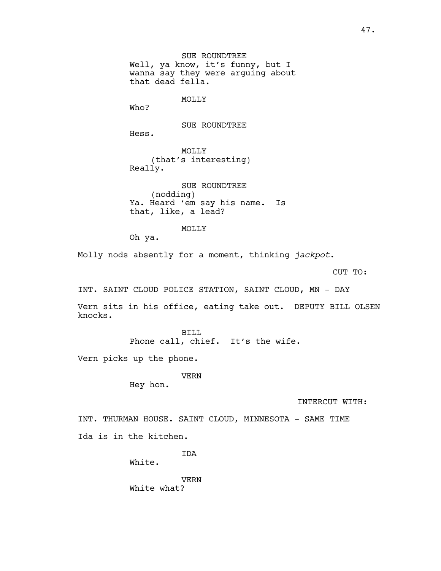SUE ROUNDTREE Well, ya know, it's funny, but I wanna say they were arguing about that dead fella.

MOLLY

Who?

Hess.

SUE ROUNDTREE

MOLLY (that's interesting) Really.

SUE ROUNDTREE (nodding) Ya. Heard 'em say his name. Is that, like, a lead?

## MOLLY

Oh ya.

Molly nods absently for a moment, thinking *jackpot*.

CUT TO:

INT. SAINT CLOUD POLICE STATION, SAINT CLOUD, MN - DAY

Vern sits in his office, eating take out. DEPUTY BILL OLSEN knocks.

> BILL Phone call, chief. It's the wife.

Vern picks up the phone.

VERN

Hey hon.

INTERCUT WITH:

INT. THURMAN HOUSE. SAINT CLOUD, MINNESOTA - SAME TIME Ida is in the kitchen.

IDA

White.

VERN White what?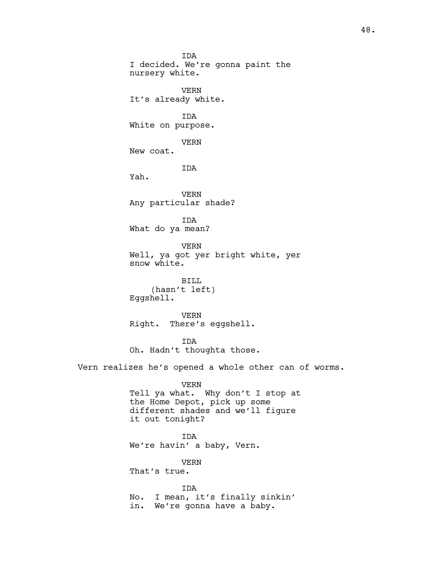IDA I decided. We're gonna paint the nursery white. VERN It's already white. IDA White on purpose. VERN New coat. **TDA** Yah. VERN Any particular shade? IDA What do ya mean? VERN Well, ya got yer bright white, yer snow white. BILL (hasn't left) Eggshell. VERN Right. There's eggshell. IDA Oh. Hadn't thoughta those. Vern realizes he's opened a whole other can of worms. VERN Tell ya what. Why don't I stop at the Home Depot, pick up some different shades and we'll figure it out tonight? IDA We're havin' a baby, Vern. VERN That's true. IDA No. I mean, it's finally sinkin' in. We're gonna have a baby.

48.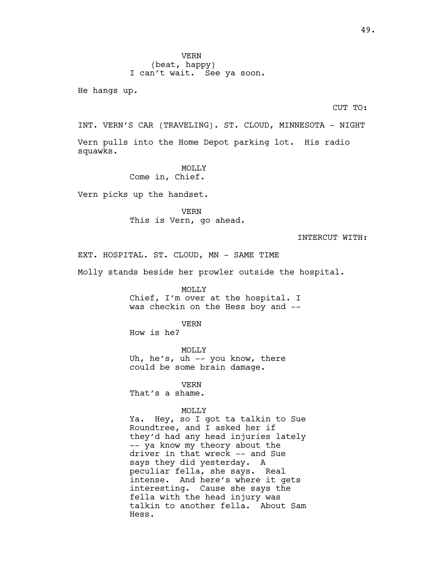He hangs up.

CUT TO:

INT. VERN'S CAR (TRAVELING). ST. CLOUD, MINNESOTA - NIGHT Vern pulls into the Home Depot parking lot. His radio squawks.

> **MOLLY** Come in, Chief.

Vern picks up the handset.

VERN This is Vern, go ahead.

INTERCUT WITH:

EXT. HOSPITAL. ST. CLOUD, MN - SAME TIME

Molly stands beside her prowler outside the hospital.

MOLLY Chief, I'm over at the hospital. I was checkin on the Hess boy and --

VERN

How is he?

MOLLY Uh, he's, uh -- you know, there could be some brain damage.

VERN

That's a shame.

## MOLLY

Ya. Hey, so I got ta talkin to Sue Roundtree, and I asked her if they'd had any head injuries lately -- ya know my theory about the driver in that wreck -- and Sue says they did yesterday. A peculiar fella, she says. Real intense. And here's where it gets interesting. Cause she says the fella with the head injury was talkin to another fella. About Sam Hess.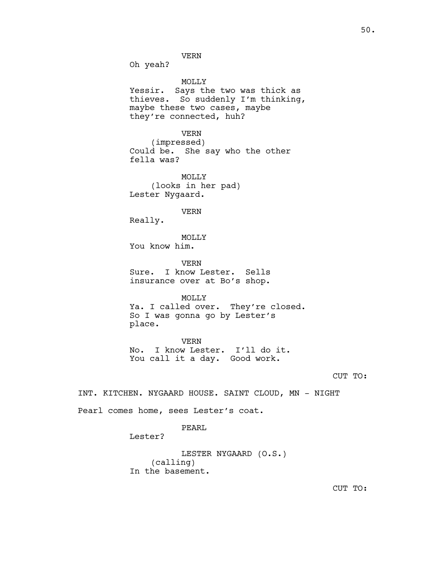Oh yeah?

MOLLY Yessir. Says the two was thick as thieves. So suddenly I'm thinking, maybe these two cases, maybe they're connected, huh?

VERN (impressed) Could be. She say who the other fella was?

MOLLY (looks in her pad) Lester Nygaard.

VERN

Really.

MOLLY You know him.

VERN Sure. I know Lester. Sells insurance over at Bo's shop.

MOLLY Ya. I called over. They're closed. So I was gonna go by Lester's place.

VERN No. I know Lester. I'll do it. You call it a day. Good work.

CUT TO:

INT. KITCHEN. NYGAARD HOUSE. SAINT CLOUD, MN - NIGHT Pearl comes home, sees Lester's coat.

PEARL

Lester?

LESTER NYGAARD (O.S.) (calling) In the basement.

CUT TO: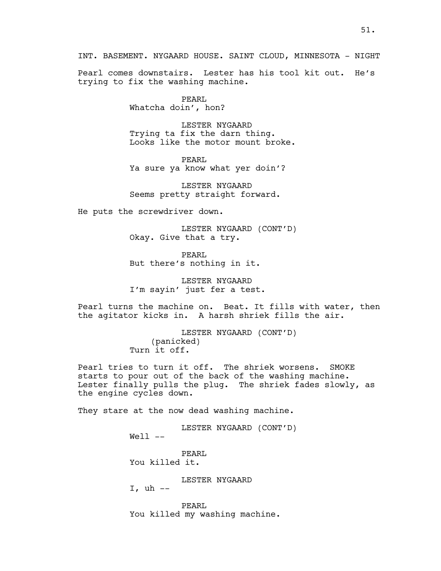Pearl comes downstairs. Lester has his tool kit out. He's trying to fix the washing machine.

> PEARL Whatcha doin', hon?

LESTER NYGAARD Trying ta fix the darn thing. Looks like the motor mount broke.

PEARL Ya sure ya know what yer doin'?

LESTER NYGAARD Seems pretty straight forward.

He puts the screwdriver down.

LESTER NYGAARD (CONT'D) Okay. Give that a try.

PEARL But there's nothing in it.

LESTER NYGAARD I'm sayin' just fer a test.

Pearl turns the machine on. Beat. It fills with water, then the agitator kicks in. A harsh shriek fills the air.

> LESTER NYGAARD (CONT'D) (panicked) Turn it off.

Pearl tries to turn it off. The shriek worsens. SMOKE starts to pour out of the back of the washing machine. Lester finally pulls the plug. The shriek fades slowly, as the engine cycles down.

They stare at the now dead washing machine.

LESTER NYGAARD (CONT'D)

Well --

PEARL You killed it.

LESTER NYGAARD

I, uh  $-$ 

PEARL You killed my washing machine.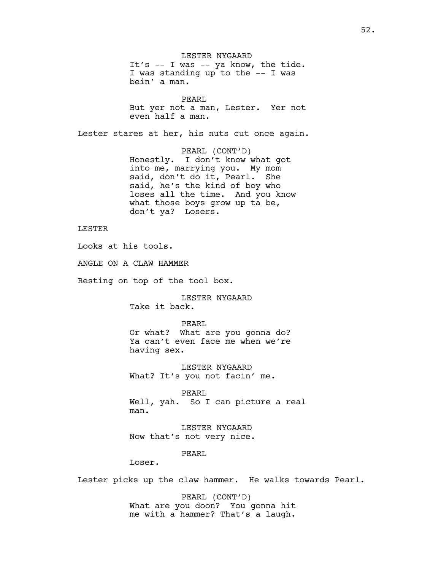LESTER NYGAARD It's -- I was -- ya know, the tide. I was standing up to the -- I was bein' a man.

PEARL But yer not a man, Lester. Yer not even half a man.

Lester stares at her, his nuts cut once again.

PEARL (CONT'D) Honestly. I don't know what got into me, marrying you. My mom said, don't do it, Pearl. She said, he's the kind of boy who loses all the time. And you know what those boys grow up ta be, don't ya? Losers.

LESTER

Looks at his tools.

ANGLE ON A CLAW HAMMER

Resting on top of the tool box.

LESTER NYGAARD Take it back.

PEARL Or what? What are you gonna do? Ya can't even face me when we're having sex.

LESTER NYGAARD What? It's you not facin' me.

PEARL Well, yah. So I can picture a real man.

LESTER NYGAARD Now that's not very nice.

PEARL

Loser.

Lester picks up the claw hammer. He walks towards Pearl.

PEARL (CONT'D) What are you doon? You gonna hit me with a hammer? That's a laugh.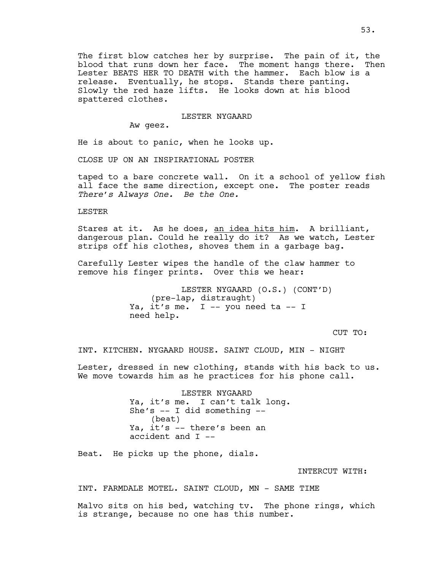The first blow catches her by surprise. The pain of it, the blood that runs down her face. The moment hangs there. Then Lester BEATS HER TO DEATH with the hammer. Each blow is a release. Eventually, he stops. Stands there panting. Slowly the red haze lifts. He looks down at his blood spattered clothes.

#### LESTER NYGAARD

Aw geez.

He is about to panic, when he looks up.

CLOSE UP ON AN INSPIRATIONAL POSTER

taped to a bare concrete wall. On it a school of yellow fish all face the same direction, except one. The poster reads *There's Always One. Be the One.*

LESTER

Stares at it. As he does, an idea hits him. A brilliant, dangerous plan. Could he really do it? As we watch, Lester strips off his clothes, shoves them in a garbage bag.

Carefully Lester wipes the handle of the claw hammer to remove his finger prints. Over this we hear:

> LESTER NYGAARD (O.S.) (CONT'D) (pre-lap, distraught) Ya, it's me. I -- you need ta -- I need help.

> > CUT TO:

INT. KITCHEN. NYGAARD HOUSE. SAINT CLOUD, MIN - NIGHT

Lester, dressed in new clothing, stands with his back to us. We move towards him as he practices for his phone call.

> LESTER NYGAARD Ya, it's me. I can't talk long. She's -- I did something -- (beat) Ya, it's -- there's been an accident and I --

Beat. He picks up the phone, dials.

INTERCUT WITH:

INT. FARMDALE MOTEL. SAINT CLOUD, MN - SAME TIME

Malvo sits on his bed, watching tv. The phone rings, which is strange, because no one has this number.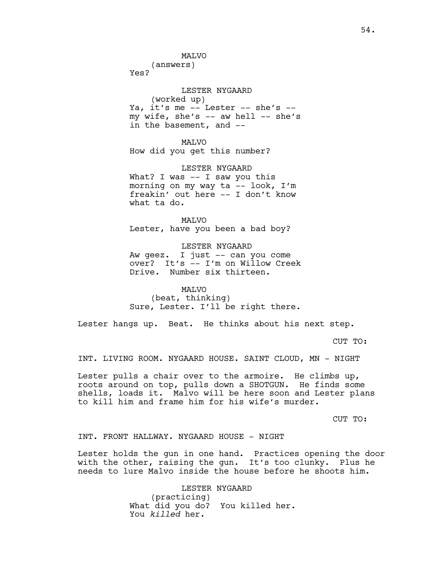**MAT<sub>VO</sub>** 

(answers)

Yes?

LESTER NYGAARD (worked up) Ya, it's me -- Lester -- she's - my wife, she's  $-$  aw hell  $-$  she's in the basement, and --

MALVO How did you get this number?

LESTER NYGAARD What? I was  $-$  I saw you this morning on my way ta -- look, I'm freakin' out here -- I don't know what ta do.

**MAT<sub>VO</sub>** Lester, have you been a bad boy?

LESTER NYGAARD Aw geez. I just -- can you come over? It's -- I'm on Willow Creek Drive. Number six thirteen.

MALVO (beat, thinking) Sure, Lester. I'll be right there.

Lester hangs up. Beat. He thinks about his next step.

CUT TO:

INT. LIVING ROOM. NYGAARD HOUSE. SAINT CLOUD, MN - NIGHT

Lester pulls a chair over to the armoire. He climbs up, roots around on top, pulls down a SHOTGUN. He finds some shells, loads it. Malvo will be here soon and Lester plans to kill him and frame him for his wife's murder.

CUT TO:

INT. FRONT HALLWAY. NYGAARD HOUSE - NIGHT

Lester holds the gun in one hand. Practices opening the door with the other, raising the gun. It's too clunky. Plus he needs to lure Malvo inside the house before he shoots him.

> LESTER NYGAARD (practicing) What did you do? You killed her. You *killed* her.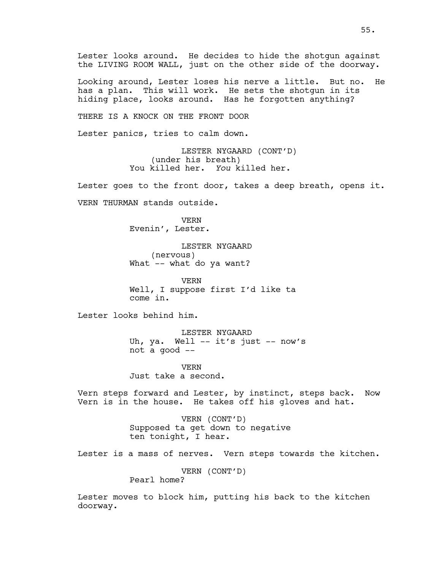Lester looks around. He decides to hide the shotgun against the LIVING ROOM WALL, just on the other side of the doorway.

Looking around, Lester loses his nerve a little. But no. He has a plan. This will work. He sets the shotgun in its hiding place, looks around. Has he forgotten anything?

THERE IS A KNOCK ON THE FRONT DOOR

Lester panics, tries to calm down.

LESTER NYGAARD (CONT'D) (under his breath) You killed her. *You* killed her.

Lester goes to the front door, takes a deep breath, opens it.

VERN THURMAN stands outside.

VERN Evenin', Lester.

LESTER NYGAARD (nervous) What -- what do ya want?

VERN Well, I suppose first I'd like ta come in.

Lester looks behind him.

LESTER NYGAARD Uh, ya. Well -- it's just -- now's not a good --

VERN Just take a second.

Vern steps forward and Lester, by instinct, steps back. Now Vern is in the house. He takes off his gloves and hat.

> VERN (CONT'D) Supposed ta get down to negative ten tonight, I hear.

Lester is a mass of nerves. Vern steps towards the kitchen.

VERN (CONT'D) Pearl home?

Lester moves to block him, putting his back to the kitchen doorway.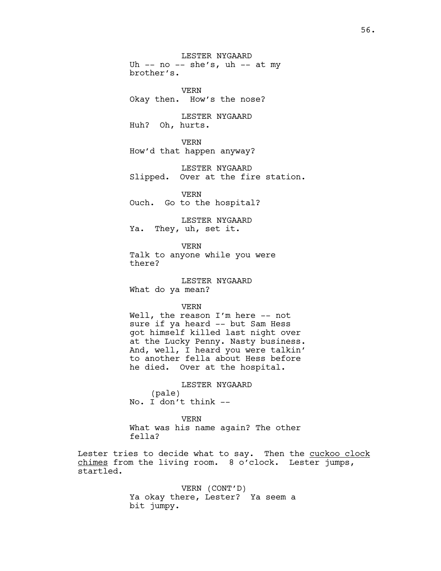LESTER NYGAARD Uh  $--$  no  $--$  she's, uh  $--$  at my brother's. VERN Okay then. How's the nose? LESTER NYGAARD Huh? Oh, hurts. VERN How'd that happen anyway? LESTER NYGAARD Slipped. Over at the fire station. VERN Ouch. Go to the hospital? LESTER NYGAARD Ya. They, uh, set it. VERN Talk to anyone while you were

there?

LESTER NYGAARD What do ya mean?

VERN

Well, the reason I'm here -- not sure if ya heard -- but Sam Hess got himself killed last night over at the Lucky Penny. Nasty business. And, well, I heard you were talkin' to another fella about Hess before he died. Over at the hospital.

LESTER NYGAARD (pale) No. I don't think --

VERN What was his name again? The other fella?

Lester tries to decide what to say. Then the cuckoo clock chimes from the living room. 8 o'clock. Lester jumps, startled.

> VERN (CONT'D) Ya okay there, Lester? Ya seem a bit jumpy.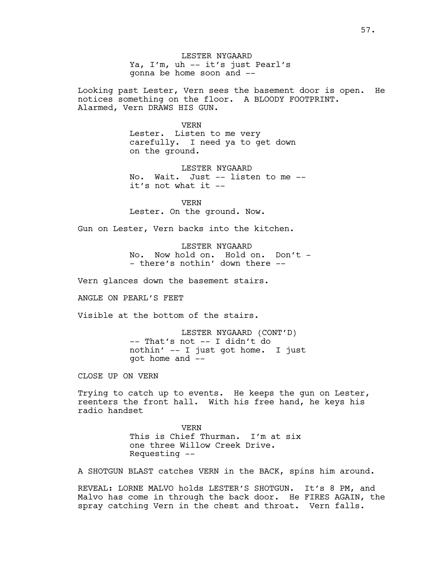LESTER NYGAARD Ya, I'm, uh -- it's just Pearl's gonna be home soon and --

Looking past Lester, Vern sees the basement door is open. He notices something on the floor. A BLOODY FOOTPRINT. Alarmed, Vern DRAWS HIS GUN.

VERN

Lester. Listen to me very carefully. I need ya to get down on the ground.

LESTER NYGAARD No. Wait. Just -- listen to me - it's not what it --

VERN Lester. On the ground. Now.

Gun on Lester, Vern backs into the kitchen.

LESTER NYGAARD No. Now hold on. Hold on. Don't -- there's nothin' down there --

Vern glances down the basement stairs.

ANGLE ON PEARL'S FEET

Visible at the bottom of the stairs.

LESTER NYGAARD (CONT'D) -- That's not -- I didn't do nothin' -- I just got home. I just got home and --

CLOSE UP ON VERN

Trying to catch up to events. He keeps the gun on Lester, reenters the front hall. With his free hand, he keys his radio handset

> VERN This is Chief Thurman. I'm at six one three Willow Creek Drive. Requesting --

A SHOTGUN BLAST catches VERN in the BACK, spins him around.

REVEAL: LORNE MALVO holds LESTER'S SHOTGUN. It's 8 PM, and Malvo has come in through the back door. He FIRES AGAIN, the spray catching Vern in the chest and throat. Vern falls.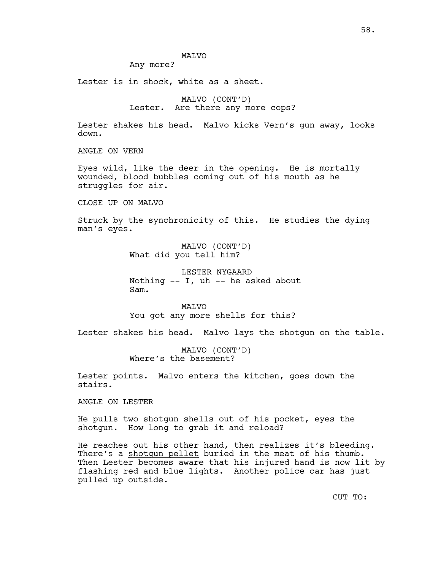# MALVO

Any more?

Lester is in shock, white as a sheet.

MALVO (CONT'D) Lester. Are there any more cops?

Lester shakes his head. Malvo kicks Vern's gun away, looks down.

ANGLE ON VERN

Eyes wild, like the deer in the opening. He is mortally wounded, blood bubbles coming out of his mouth as he struggles for air.

CLOSE UP ON MALVO

Struck by the synchronicity of this. He studies the dying man's eyes.

> MALVO (CONT'D) What did you tell him?

LESTER NYGAARD Nothing  $--$  I, uh  $--$  he asked about Sam.

**MAT<sub>VO</sub>** You got any more shells for this?

Lester shakes his head. Malvo lays the shotgun on the table.

MALVO (CONT'D) Where's the basement?

Lester points. Malvo enters the kitchen, goes down the stairs.

ANGLE ON LESTER

He pulls two shotgun shells out of his pocket, eyes the shotgun. How long to grab it and reload?

He reaches out his other hand, then realizes it's bleeding. There's a shotgun pellet buried in the meat of his thumb. Then Lester becomes aware that his injured hand is now lit by flashing red and blue lights. Another police car has just pulled up outside.

CUT TO: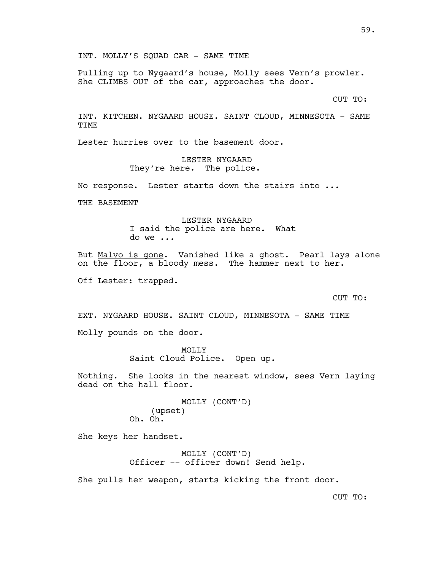INT. MOLLY'S SQUAD CAR - SAME TIME

Pulling up to Nygaard's house, Molly sees Vern's prowler. She CLIMBS OUT of the car, approaches the door.

CUT TO:

INT. KITCHEN. NYGAARD HOUSE. SAINT CLOUD, MINNESOTA - SAME TIME

Lester hurries over to the basement door.

LESTER NYGAARD They're here. The police.

No response. Lester starts down the stairs into ...

THE BASEMENT

LESTER NYGAARD I said the police are here. What do we ...

But Malvo is gone. Vanished like a ghost. Pearl lays alone on the floor, a bloody mess. The hammer next to her.

Off Lester: trapped.

CUT TO:

EXT. NYGAARD HOUSE. SAINT CLOUD, MINNESOTA - SAME TIME Molly pounds on the door.

> MOLLY Saint Cloud Police. Open up.

Nothing. She looks in the nearest window, sees Vern laying dead on the hall floor.

> MOLLY (CONT'D) (upset) Oh. Oh.

She keys her handset.

MOLLY (CONT'D) Officer -- officer down! Send help.

She pulls her weapon, starts kicking the front door.

CUT TO: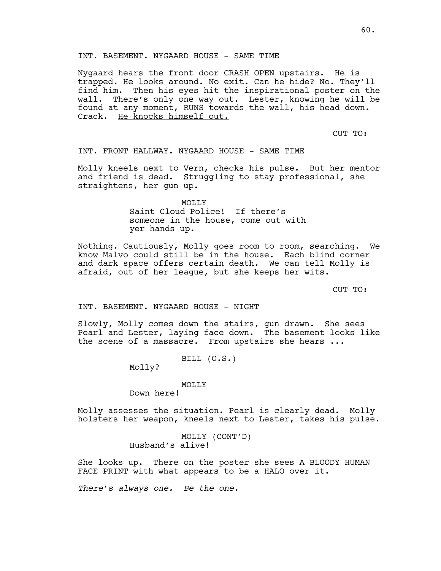# INT. BASEMENT. NYGAARD HOUSE - SAME TIME

Nygaard hears the front door CRASH OPEN upstairs. He is trapped. He looks around. No exit. Can he hide? No. They'll find him. Then his eyes hit the inspirational poster on the wall. There's only one way out. Lester, knowing he will be found at any moment, RUNS towards the wall, his head down. Crack. He knocks himself out.

CUT TO:

INT. FRONT HALLWAY. NYGAARD HOUSE - SAME TIME

Molly kneels next to Vern, checks his pulse. But her mentor and friend is dead. Struggling to stay professional, she straightens, her gun up.

> MOLLY Saint Cloud Police! If there's someone in the house, come out with yer hands up.

Nothing. Cautiously, Molly goes room to room, searching. We know Malvo could still be in the house. Each blind corner and dark space offers certain death. We can tell Molly is afraid, out of her league, but she keeps her wits.

CUT TO:

INT. BASEMENT. NYGAARD HOUSE - NIGHT

Slowly, Molly comes down the stairs, gun drawn. She sees Pearl and Lester, laying face down. The basement looks like the scene of a massacre. From upstairs she hears ...

BILL (O.S.)

Molly?

#### MOLLY

Down here!

Molly assesses the situation. Pearl is clearly dead. Molly holsters her weapon, kneels next to Lester, takes his pulse.

> MOLLY (CONT'D) Husband's alive!

She looks up. There on the poster she sees A BLOODY HUMAN FACE PRINT with what appears to be a HALO over it.

*There's always one. Be the one.*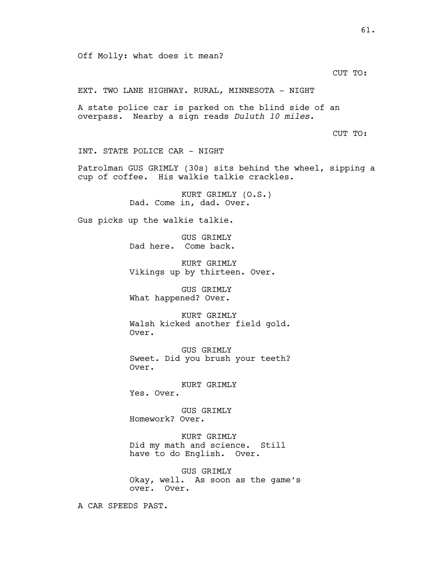CUT TO:

EXT. TWO LANE HIGHWAY. RURAL, MINNESOTA - NIGHT

A state police car is parked on the blind side of an overpass. Nearby a sign reads *Duluth 10 miles*.

CUT TO:

INT. STATE POLICE CAR - NIGHT

Patrolman GUS GRIMLY (30s) sits behind the wheel, sipping a cup of coffee. His walkie talkie crackles.

> KURT GRIMLY (O.S.) Dad. Come in, dad. Over.

Gus picks up the walkie talkie.

GUS GRIMLY Dad here. Come back.

KURT GRIMLY Vikings up by thirteen. Over.

GUS GRIMLY What happened? Over.

KURT GRIMLY Walsh kicked another field gold. Over.

GUS GRIMLY Sweet. Did you brush your teeth? Over.

KURT GRIMLY Yes. Over.

GUS GRIMLY Homework? Over.

KURT GRIMLY Did my math and science. Still have to do English. Over.

GUS GRIMLY Okay, well. As soon as the game's over. Over.

A CAR SPEEDS PAST.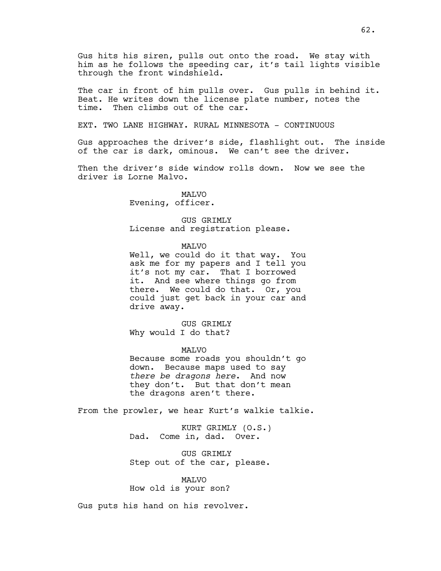Gus hits his siren, pulls out onto the road. We stay with him as he follows the speeding car, it's tail lights visible through the front windshield.

The car in front of him pulls over. Gus pulls in behind it. Beat. He writes down the license plate number, notes the time. Then climbs out of the car.

EXT. TWO LANE HIGHWAY. RURAL MINNESOTA - CONTINUOUS

Gus approaches the driver's side, flashlight out. The inside of the car is dark, ominous. We can't see the driver.

Then the driver's side window rolls down. Now we see the driver is Lorne Malvo.

> MALVO Evening, officer.

GUS GRIMLY License and registration please.

MALVO

Well, we could do it that way. You ask me for my papers and I tell you it's not my car. That I borrowed it. And see where things go from there. We could do that. Or, you could just get back in your car and drive away.

GUS GRIMLY Why would I do that?

MALVO Because some roads you shouldn't go down. Because maps used to say *there be dragons here*. And now they don't. But that don't mean the dragons aren't there.

From the prowler, we hear Kurt's walkie talkie.

KURT GRIMLY (O.S.) Dad. Come in, dad. Over.

GUS GRIMLY Step out of the car, please.

MALVO How old is your son?

Gus puts his hand on his revolver.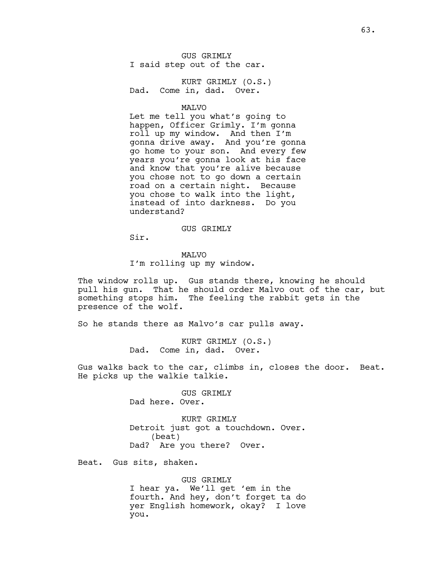GUS GRIMLY I said step out of the car.

KURT GRIMLY (O.S.) Dad. Come in, dad. Over.

MALVO

Let me tell you what's going to happen, Officer Grimly. I'm gonna roll up my window. And then I'm gonna drive away. And you're gonna go home to your son. And every few years you're gonna look at his face and know that you're alive because you chose not to go down a certain road on a certain night. Because you chose to walk into the light, instead of into darkness. Do you understand?

#### GUS GRIMLY

Sir.

MALVO I'm rolling up my window.

The window rolls up. Gus stands there, knowing he should pull his gun. That he should order Malvo out of the car, but something stops him. The feeling the rabbit gets in the presence of the wolf.

So he stands there as Malvo's car pulls away.

KURT GRIMLY (O.S.) Dad. Come in, dad. Over.

Gus walks back to the car, climbs in, closes the door. Beat. He picks up the walkie talkie.

> GUS GRIMLY Dad here. Over.

KURT GRIMLY Detroit just got a touchdown. Over. (beat) Dad? Are you there? Over.

Beat. Gus sits, shaken.

GUS GRIMLY I hear ya. We'll get 'em in the fourth. And hey, don't forget ta do yer English homework, okay? I love you.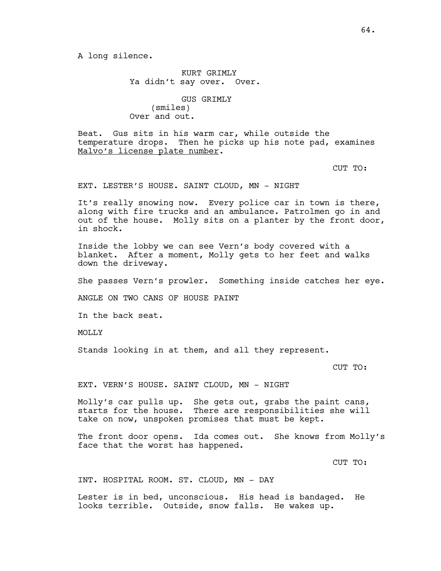KURT GRIMLY Ya didn't say over. Over.

GUS GRIMLY (smiles) Over and out.

Beat. Gus sits in his warm car, while outside the temperature drops. Then he picks up his note pad, examines Malvo's license plate number.

CUT TO:

EXT. LESTER'S HOUSE. SAINT CLOUD, MN - NIGHT

It's really snowing now. Every police car in town is there, along with fire trucks and an ambulance. Patrolmen go in and out of the house. Molly sits on a planter by the front door, in shock.

Inside the lobby we can see Vern's body covered with a blanket. After a moment, Molly gets to her feet and walks down the driveway.

She passes Vern's prowler. Something inside catches her eye.

ANGLE ON TWO CANS OF HOUSE PAINT

In the back seat.

MOLLY

Stands looking in at them, and all they represent.

CUT TO:

EXT. VERN'S HOUSE. SAINT CLOUD, MN - NIGHT

Molly's car pulls up. She gets out, grabs the paint cans, starts for the house. There are responsibilities she will take on now, unspoken promises that must be kept.

The front door opens. Ida comes out. She knows from Molly's face that the worst has happened.

CUT TO:

INT. HOSPITAL ROOM. ST. CLOUD, MN - DAY

Lester is in bed, unconscious. His head is bandaged. He looks terrible. Outside, snow falls. He wakes up.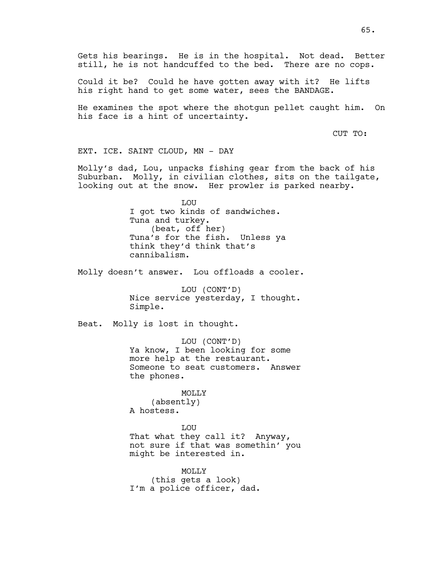Gets his bearings. He is in the hospital. Not dead. Better still, he is not handcuffed to the bed. There are no cops.

Could it be? Could he have gotten away with it? He lifts his right hand to get some water, sees the BANDAGE.

He examines the spot where the shotgun pellet caught him. On his face is a hint of uncertainty.

CUT TO:

EXT. ICE. SAINT CLOUD, MN - DAY

Molly's dad, Lou, unpacks fishing gear from the back of his Suburban. Molly, in civilian clothes, sits on the tailgate, looking out at the snow. Her prowler is parked nearby.

> LOU I got two kinds of sandwiches. Tuna and turkey. (beat, off her) Tuna's for the fish. Unless ya think they'd think that's cannibalism.

Molly doesn't answer. Lou offloads a cooler.

LOU (CONT'D) Nice service yesterday, I thought. Simple.

Beat. Molly is lost in thought.

LOU (CONT'D) Ya know, I been looking for some more help at the restaurant. Someone to seat customers. Answer the phones.

MOLLY

(absently) A hostess.

LOU That what they call it? Anyway, not sure if that was somethin' you might be interested in.

MOLLY (this gets a look) I'm a police officer, dad.